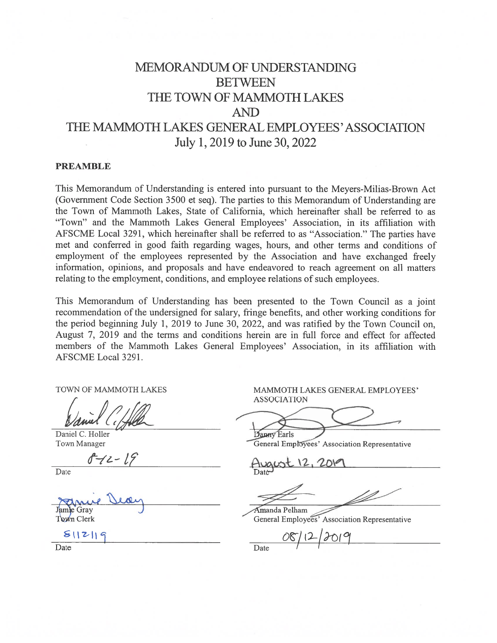# MEMORANDUM OF UNDERSTANDING **BETWEEN** THE TOWN OF MAMMOTH LAKES **AND** THE MAMMOTH LAKES GENERAL EMPLOYEES' ASSOCIATION July 1, 2019 to June 30, 2022

#### **PREAMBLE**

This Memorandum of Understanding is entered into pursuant to the Meyers-Milias-Brown Act (Government Code Section 3500 et seq). The parties to this Memorandum of Understanding are the Town of Mammoth Lakes, State of California, which hereinafter shall be referred to as "Town" and the Mammoth Lakes General Employees' Association, in its affiliation with AFSCME Local 3291, which hereinafter shall be referred to as "Association." The parties have met and conferred in good faith regarding wages, hours, and other terms and conditions of employment of the employees represented by the Association and have exchanged freely information, opinions, and proposals and have endeavored to reach agreement on all matters relating to the employment, conditions, and employee relations of such employees.

This Memorandum of Understanding has been presented to the Town Council as a joint recommendation of the undersigned for salary, fringe benefits, and other working conditions for the period beginning July 1, 2019 to June 30, 2022, and was ratified by the Town Council on, August 7, 2019 and the terms and conditions herein are in full force and effect for affected members of the Mammoth Lakes General Employees' Association, in its affiliation with AFSCME Local 3291.

TOWN OF MAMMOTH LAKES

Daniel C. Holler **Town Manager** 

Date

Jamje Gray

Town Clerk

 $811219$ 

**ASSOCIATION** 

MAMMOTH LAKES GENERAL EMPLOYEES'

Danny Earls General Employees' Association Representative

Amanda Pelham

General Employees' Association Representative

Date

Date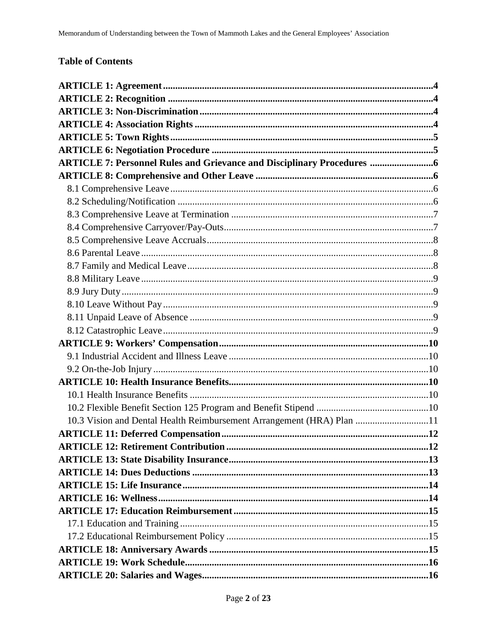## **Table of Contents**

| <b>ARTICLE 7: Personnel Rules and Grievance and Disciplinary Procedures </b> 6 |  |
|--------------------------------------------------------------------------------|--|
|                                                                                |  |
|                                                                                |  |
|                                                                                |  |
|                                                                                |  |
|                                                                                |  |
|                                                                                |  |
|                                                                                |  |
|                                                                                |  |
|                                                                                |  |
|                                                                                |  |
|                                                                                |  |
|                                                                                |  |
|                                                                                |  |
|                                                                                |  |
|                                                                                |  |
|                                                                                |  |
|                                                                                |  |
|                                                                                |  |
|                                                                                |  |
| 10.3 Vision and Dental Health Reimbursement Arrangement (HRA) Plan 11          |  |
|                                                                                |  |
|                                                                                |  |
|                                                                                |  |
|                                                                                |  |
|                                                                                |  |
|                                                                                |  |
|                                                                                |  |
|                                                                                |  |
|                                                                                |  |
|                                                                                |  |
|                                                                                |  |
|                                                                                |  |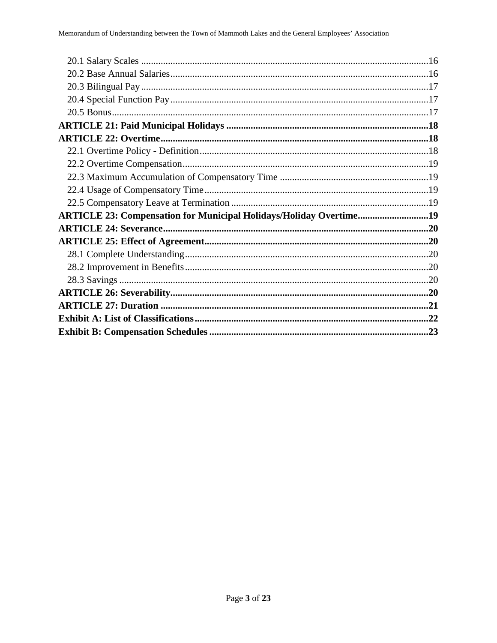| ARTICLE 23: Compensation for Municipal Holidays/Holiday Overtime19 |  |
|--------------------------------------------------------------------|--|
|                                                                    |  |
|                                                                    |  |
|                                                                    |  |
|                                                                    |  |
|                                                                    |  |
|                                                                    |  |
|                                                                    |  |
|                                                                    |  |
|                                                                    |  |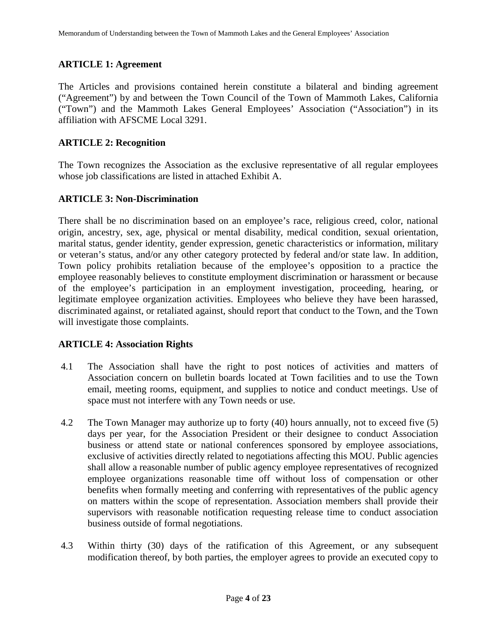## **ARTICLE 1: Agreement**

The Articles and provisions contained herein constitute a bilateral and binding agreement ("Agreement") by and between the Town Council of the Town of Mammoth Lakes, California ("Town") and the Mammoth Lakes General Employees' Association ("Association") in its affiliation with AFSCME Local 3291.

## **ARTICLE 2: Recognition**

The Town recognizes the Association as the exclusive representative of all regular employees whose job classifications are listed in attached Exhibit A.

## **ARTICLE 3: Non-Discrimination**

There shall be no discrimination based on an employee's race, religious creed, color, national origin, ancestry, sex, age, physical or mental disability, medical condition, sexual orientation, marital status, gender identity, gender expression, genetic characteristics or information, military or veteran's status, and/or any other category protected by federal and/or state law. In addition, Town policy prohibits retaliation because of the employee's opposition to a practice the employee reasonably believes to constitute employment discrimination or harassment or because of the employee's participation in an employment investigation, proceeding, hearing, or legitimate employee organization activities. Employees who believe they have been harassed, discriminated against, or retaliated against, should report that conduct to the Town, and the Town will investigate those complaints.

## **ARTICLE 4: Association Rights**

- 4.1 The Association shall have the right to post notices of activities and matters of Association concern on bulletin boards located at Town facilities and to use the Town email, meeting rooms, equipment, and supplies to notice and conduct meetings. Use of space must not interfere with any Town needs or use.
- 4.2 The Town Manager may authorize up to forty (40) hours annually, not to exceed five (5) days per year, for the Association President or their designee to conduct Association business or attend state or national conferences sponsored by employee associations, exclusive of activities directly related to negotiations affecting this MOU. Public agencies shall allow a reasonable number of public agency employee representatives of recognized employee organizations reasonable time off without loss of compensation or other benefits when formally meeting and conferring with representatives of the public agency on matters within the scope of representation. Association members shall provide their supervisors with reasonable notification requesting release time to conduct association business outside of formal negotiations.
- 4.3 Within thirty (30) days of the ratification of this Agreement, or any subsequent modification thereof, by both parties, the employer agrees to provide an executed copy to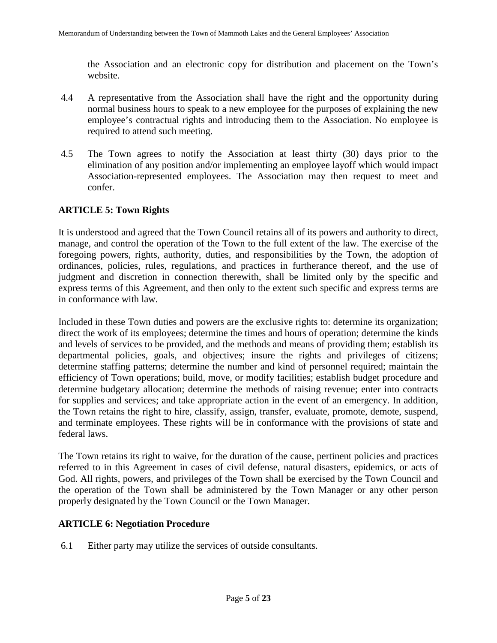the Association and an electronic copy for distribution and placement on the Town's website.

- 4.4 A representative from the Association shall have the right and the opportunity during normal business hours to speak to a new employee for the purposes of explaining the new employee's contractual rights and introducing them to the Association. No employee is required to attend such meeting.
- 4.5 The Town agrees to notify the Association at least thirty (30) days prior to the elimination of any position and/or implementing an employee layoff which would impact Association-represented employees. The Association may then request to meet and confer.

## **ARTICLE 5: Town Rights**

It is understood and agreed that the Town Council retains all of its powers and authority to direct, manage, and control the operation of the Town to the full extent of the law. The exercise of the foregoing powers, rights, authority, duties, and responsibilities by the Town, the adoption of ordinances, policies, rules, regulations, and practices in furtherance thereof, and the use of judgment and discretion in connection therewith, shall be limited only by the specific and express terms of this Agreement, and then only to the extent such specific and express terms are in conformance with law.

Included in these Town duties and powers are the exclusive rights to: determine its organization; direct the work of its employees; determine the times and hours of operation; determine the kinds and levels of services to be provided, and the methods and means of providing them; establish its departmental policies, goals, and objectives; insure the rights and privileges of citizens; determine staffing patterns; determine the number and kind of personnel required; maintain the efficiency of Town operations; build, move, or modify facilities; establish budget procedure and determine budgetary allocation; determine the methods of raising revenue; enter into contracts for supplies and services; and take appropriate action in the event of an emergency. In addition, the Town retains the right to hire, classify, assign, transfer, evaluate, promote, demote, suspend, and terminate employees. These rights will be in conformance with the provisions of state and federal laws.

The Town retains its right to waive, for the duration of the cause, pertinent policies and practices referred to in this Agreement in cases of civil defense, natural disasters, epidemics, or acts of God. All rights, powers, and privileges of the Town shall be exercised by the Town Council and the operation of the Town shall be administered by the Town Manager or any other person properly designated by the Town Council or the Town Manager.

## **ARTICLE 6: Negotiation Procedure**

6.1 Either party may utilize the services of outside consultants.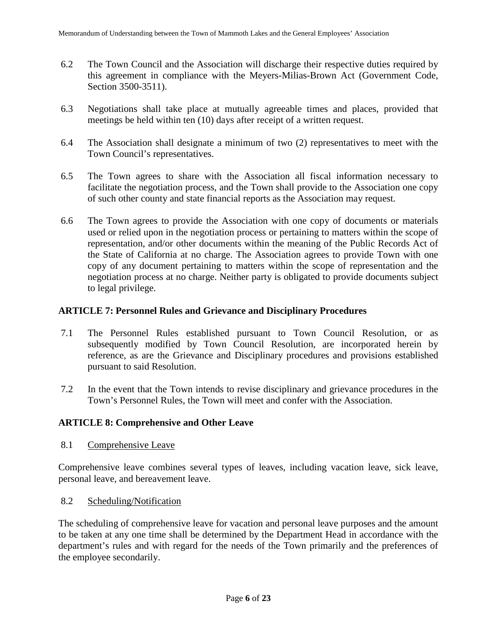- 6.2 The Town Council and the Association will discharge their respective duties required by this agreement in compliance with the Meyers-Milias-Brown Act (Government Code, Section 3500-3511).
- 6.3 Negotiations shall take place at mutually agreeable times and places, provided that meetings be held within ten (10) days after receipt of a written request.
- 6.4 The Association shall designate a minimum of two (2) representatives to meet with the Town Council's representatives.
- 6.5 The Town agrees to share with the Association all fiscal information necessary to facilitate the negotiation process, and the Town shall provide to the Association one copy of such other county and state financial reports as the Association may request.
- 6.6 The Town agrees to provide the Association with one copy of documents or materials used or relied upon in the negotiation process or pertaining to matters within the scope of representation, and/or other documents within the meaning of the Public Records Act of the State of California at no charge. The Association agrees to provide Town with one copy of any document pertaining to matters within the scope of representation and the negotiation process at no charge. Neither party is obligated to provide documents subject to legal privilege.

## **ARTICLE 7: Personnel Rules and Grievance and Disciplinary Procedures**

- 7.1 The Personnel Rules established pursuant to Town Council Resolution, or as subsequently modified by Town Council Resolution, are incorporated herein by reference, as are the Grievance and Disciplinary procedures and provisions established pursuant to said Resolution.
- 7.2 In the event that the Town intends to revise disciplinary and grievance procedures in the Town's Personnel Rules, the Town will meet and confer with the Association.

## **ARTICLE 8: Comprehensive and Other Leave**

8.1 Comprehensive Leave

Comprehensive leave combines several types of leaves, including vacation leave, sick leave, personal leave, and bereavement leave.

8.2 Scheduling/Notification

The scheduling of comprehensive leave for vacation and personal leave purposes and the amount to be taken at any one time shall be determined by the Department Head in accordance with the department's rules and with regard for the needs of the Town primarily and the preferences of the employee secondarily.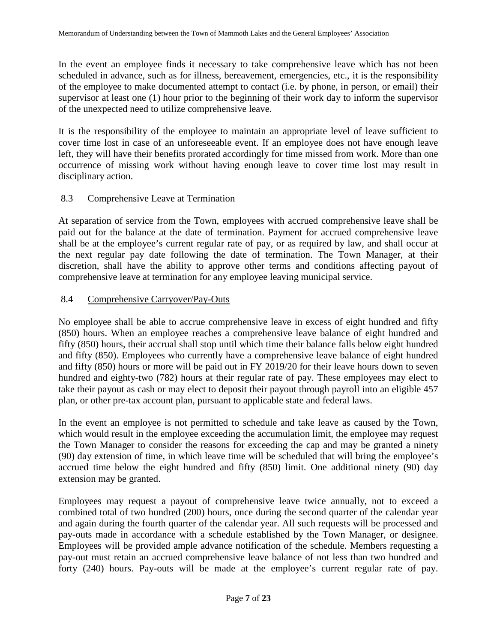In the event an employee finds it necessary to take comprehensive leave which has not been scheduled in advance, such as for illness, bereavement, emergencies, etc., it is the responsibility of the employee to make documented attempt to contact (i.e. by phone, in person, or email) their supervisor at least one (1) hour prior to the beginning of their work day to inform the supervisor of the unexpected need to utilize comprehensive leave.

It is the responsibility of the employee to maintain an appropriate level of leave sufficient to cover time lost in case of an unforeseeable event. If an employee does not have enough leave left, they will have their benefits prorated accordingly for time missed from work. More than one occurrence of missing work without having enough leave to cover time lost may result in disciplinary action.

## 8.3 Comprehensive Leave at Termination

At separation of service from the Town, employees with accrued comprehensive leave shall be paid out for the balance at the date of termination. Payment for accrued comprehensive leave shall be at the employee's current regular rate of pay, or as required by law, and shall occur at the next regular pay date following the date of termination. The Town Manager, at their discretion, shall have the ability to approve other terms and conditions affecting payout of comprehensive leave at termination for any employee leaving municipal service.

## 8.4 Comprehensive Carryover/Pay-Outs

No employee shall be able to accrue comprehensive leave in excess of eight hundred and fifty (850) hours. When an employee reaches a comprehensive leave balance of eight hundred and fifty (850) hours, their accrual shall stop until which time their balance falls below eight hundred and fifty (850). Employees who currently have a comprehensive leave balance of eight hundred and fifty (850) hours or more will be paid out in FY 2019/20 for their leave hours down to seven hundred and eighty-two (782) hours at their regular rate of pay. These employees may elect to take their payout as cash or may elect to deposit their payout through payroll into an eligible 457 plan, or other pre-tax account plan, pursuant to applicable state and federal laws.

In the event an employee is not permitted to schedule and take leave as caused by the Town, which would result in the employee exceeding the accumulation limit, the employee may request the Town Manager to consider the reasons for exceeding the cap and may be granted a ninety (90) day extension of time, in which leave time will be scheduled that will bring the employee's accrued time below the eight hundred and fifty (850) limit. One additional ninety (90) day extension may be granted.

Employees may request a payout of comprehensive leave twice annually, not to exceed a combined total of two hundred (200) hours, once during the second quarter of the calendar year and again during the fourth quarter of the calendar year. All such requests will be processed and pay-outs made in accordance with a schedule established by the Town Manager, or designee. Employees will be provided ample advance notification of the schedule. Members requesting a pay-out must retain an accrued comprehensive leave balance of not less than two hundred and forty (240) hours. Pay-outs will be made at the employee's current regular rate of pay.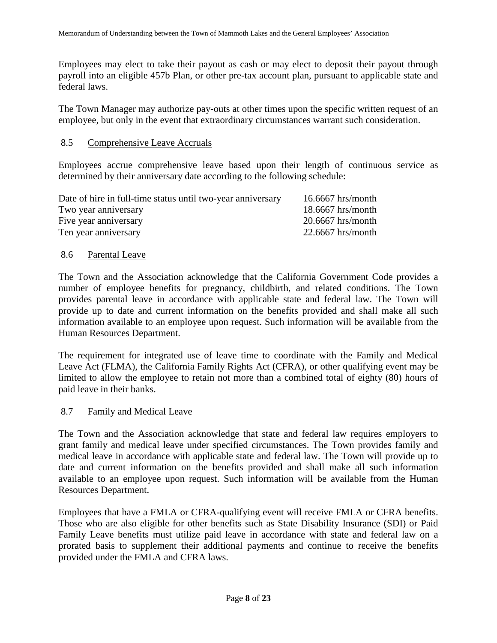Employees may elect to take their payout as cash or may elect to deposit their payout through payroll into an eligible 457b Plan, or other pre-tax account plan, pursuant to applicable state and federal laws.

The Town Manager may authorize pay-outs at other times upon the specific written request of an employee, but only in the event that extraordinary circumstances warrant such consideration.

#### 8.5 Comprehensive Leave Accruals

Employees accrue comprehensive leave based upon their length of continuous service as determined by their anniversary date according to the following schedule:

| Date of hire in full-time status until two-year anniversary | $16.6667$ hrs/month |
|-------------------------------------------------------------|---------------------|
| Two year anniversary                                        | $18.6667$ hrs/month |
| Five year anniversary                                       | $20.6667$ hrs/month |
| Ten year anniversary                                        | $22.6667$ hrs/month |
|                                                             |                     |

#### 8.6 Parental Leave

The Town and the Association acknowledge that the California Government Code provides a number of employee benefits for pregnancy, childbirth, and related conditions. The Town provides parental leave in accordance with applicable state and federal law. The Town will provide up to date and current information on the benefits provided and shall make all such information available to an employee upon request. Such information will be available from the Human Resources Department.

The requirement for integrated use of leave time to coordinate with the Family and Medical Leave Act (FLMA), the California Family Rights Act (CFRA), or other qualifying event may be limited to allow the employee to retain not more than a combined total of eighty (80) hours of paid leave in their banks.

#### 8.7 Family and Medical Leave

The Town and the Association acknowledge that state and federal law requires employers to grant family and medical leave under specified circumstances. The Town provides family and medical leave in accordance with applicable state and federal law. The Town will provide up to date and current information on the benefits provided and shall make all such information available to an employee upon request. Such information will be available from the Human Resources Department.

Employees that have a FMLA or CFRA-qualifying event will receive FMLA or CFRA benefits. Those who are also eligible for other benefits such as State Disability Insurance (SDI) or Paid Family Leave benefits must utilize paid leave in accordance with state and federal law on a prorated basis to supplement their additional payments and continue to receive the benefits provided under the FMLA and CFRA laws.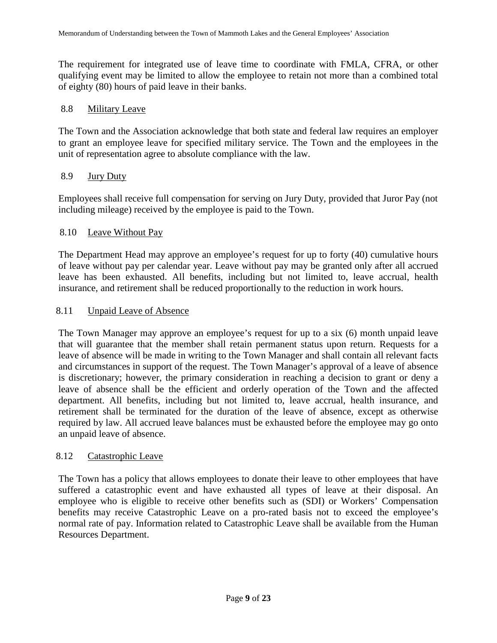The requirement for integrated use of leave time to coordinate with FMLA, CFRA, or other qualifying event may be limited to allow the employee to retain not more than a combined total of eighty (80) hours of paid leave in their banks.

#### 8.8 Military Leave

The Town and the Association acknowledge that both state and federal law requires an employer to grant an employee leave for specified military service. The Town and the employees in the unit of representation agree to absolute compliance with the law.

### 8.9 Jury Duty

Employees shall receive full compensation for serving on Jury Duty, provided that Juror Pay (not including mileage) received by the employee is paid to the Town.

### 8.10 Leave Without Pay

The Department Head may approve an employee's request for up to forty (40) cumulative hours of leave without pay per calendar year. Leave without pay may be granted only after all accrued leave has been exhausted. All benefits, including but not limited to, leave accrual, health insurance, and retirement shall be reduced proportionally to the reduction in work hours.

#### 8.11 Unpaid Leave of Absence

The Town Manager may approve an employee's request for up to a six (6) month unpaid leave that will guarantee that the member shall retain permanent status upon return. Requests for a leave of absence will be made in writing to the Town Manager and shall contain all relevant facts and circumstances in support of the request. The Town Manager's approval of a leave of absence is discretionary; however, the primary consideration in reaching a decision to grant or deny a leave of absence shall be the efficient and orderly operation of the Town and the affected department. All benefits, including but not limited to, leave accrual, health insurance, and retirement shall be terminated for the duration of the leave of absence, except as otherwise required by law. All accrued leave balances must be exhausted before the employee may go onto an unpaid leave of absence.

#### 8.12 Catastrophic Leave

The Town has a policy that allows employees to donate their leave to other employees that have suffered a catastrophic event and have exhausted all types of leave at their disposal. An employee who is eligible to receive other benefits such as (SDI) or Workers' Compensation benefits may receive Catastrophic Leave on a pro-rated basis not to exceed the employee's normal rate of pay. Information related to Catastrophic Leave shall be available from the Human Resources Department.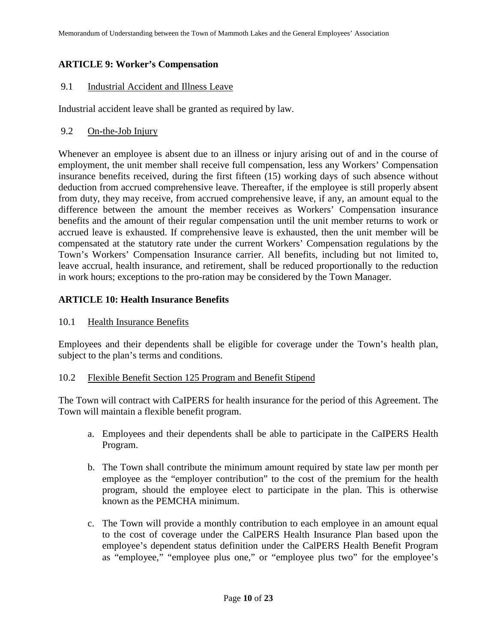## **ARTICLE 9: Worker's Compensation**

## 9.1 Industrial Accident and Illness Leave

Industrial accident leave shall be granted as required by law.

### 9.2 On-the-Job Injury

Whenever an employee is absent due to an illness or injury arising out of and in the course of employment, the unit member shall receive full compensation, less any Workers' Compensation insurance benefits received, during the first fifteen (15) working days of such absence without deduction from accrued comprehensive leave. Thereafter, if the employee is still properly absent from duty, they may receive, from accrued comprehensive leave, if any, an amount equal to the difference between the amount the member receives as Workers' Compensation insurance benefits and the amount of their regular compensation until the unit member returns to work or accrued leave is exhausted. If comprehensive leave is exhausted, then the unit member will be compensated at the statutory rate under the current Workers' Compensation regulations by the Town's Workers' Compensation Insurance carrier. All benefits, including but not limited to, leave accrual, health insurance, and retirement, shall be reduced proportionally to the reduction in work hours; exceptions to the pro-ration may be considered by the Town Manager.

## **ARTICLE 10: Health Insurance Benefits**

#### 10.1 Health Insurance Benefits

Employees and their dependents shall be eligible for coverage under the Town's health plan, subject to the plan's terms and conditions.

#### 10.2 Flexible Benefit Section 125 Program and Benefit Stipend

The Town will contract with CaIPERS for health insurance for the period of this Agreement. The Town will maintain a flexible benefit program.

- a. Employees and their dependents shall be able to participate in the CaIPERS Health Program.
- b. The Town shall contribute the minimum amount required by state law per month per employee as the "employer contribution" to the cost of the premium for the health program, should the employee elect to participate in the plan. This is otherwise known as the PEMCHA minimum.
- c. The Town will provide a monthly contribution to each employee in an amount equal to the cost of coverage under the CalPERS Health Insurance Plan based upon the employee's dependent status definition under the CalPERS Health Benefit Program as "employee," "employee plus one," or "employee plus two" for the employee's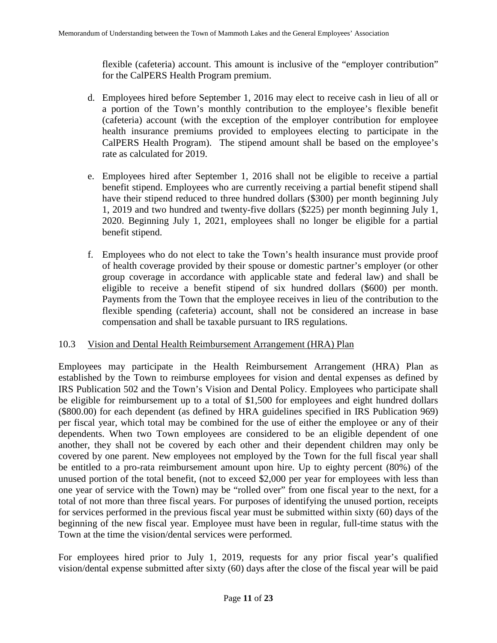flexible (cafeteria) account. This amount is inclusive of the "employer contribution" for the CalPERS Health Program premium.

- d. Employees hired before September 1, 2016 may elect to receive cash in lieu of all or a portion of the Town's monthly contribution to the employee's flexible benefit (cafeteria) account (with the exception of the employer contribution for employee health insurance premiums provided to employees electing to participate in the CalPERS Health Program). The stipend amount shall be based on the employee's rate as calculated for 2019.
- e. Employees hired after September 1, 2016 shall not be eligible to receive a partial benefit stipend. Employees who are currently receiving a partial benefit stipend shall have their stipend reduced to three hundred dollars (\$300) per month beginning July 1, 2019 and two hundred and twenty-five dollars (\$225) per month beginning July 1, 2020. Beginning July 1, 2021, employees shall no longer be eligible for a partial benefit stipend.
- f. Employees who do not elect to take the Town's health insurance must provide proof of health coverage provided by their spouse or domestic partner's employer (or other group coverage in accordance with applicable state and federal law) and shall be eligible to receive a benefit stipend of six hundred dollars (\$600) per month. Payments from the Town that the employee receives in lieu of the contribution to the flexible spending (cafeteria) account, shall not be considered an increase in base compensation and shall be taxable pursuant to IRS regulations.

#### 10.3 Vision and Dental Health Reimbursement Arrangement (HRA) Plan

Employees may participate in the Health Reimbursement Arrangement (HRA) Plan as established by the Town to reimburse employees for vision and dental expenses as defined by IRS Publication 502 and the Town's Vision and Dental Policy. Employees who participate shall be eligible for reimbursement up to a total of \$1,500 for employees and eight hundred dollars (\$800.00) for each dependent (as defined by HRA guidelines specified in IRS Publication 969) per fiscal year, which total may be combined for the use of either the employee or any of their dependents. When two Town employees are considered to be an eligible dependent of one another, they shall not be covered by each other and their dependent children may only be covered by one parent. New employees not employed by the Town for the full fiscal year shall be entitled to a pro-rata reimbursement amount upon hire. Up to eighty percent (80%) of the unused portion of the total benefit, (not to exceed \$2,000 per year for employees with less than one year of service with the Town) may be "rolled over" from one fiscal year to the next, for a total of not more than three fiscal years. For purposes of identifying the unused portion, receipts for services performed in the previous fiscal year must be submitted within sixty (60) days of the beginning of the new fiscal year. Employee must have been in regular, full-time status with the Town at the time the vision/dental services were performed.

For employees hired prior to July 1, 2019, requests for any prior fiscal year's qualified vision/dental expense submitted after sixty (60) days after the close of the fiscal year will be paid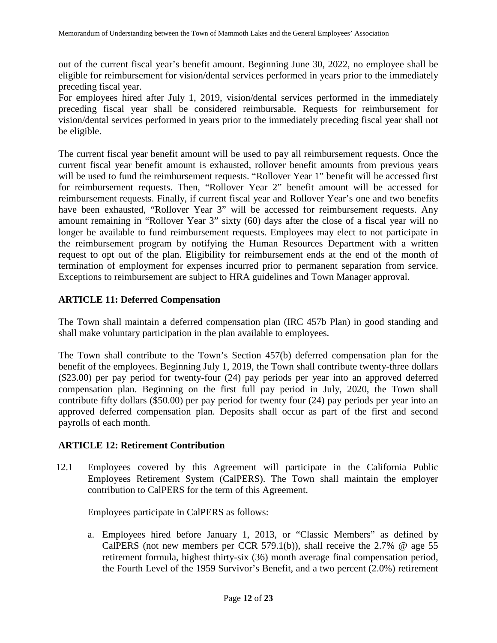out of the current fiscal year's benefit amount. Beginning June 30, 2022, no employee shall be eligible for reimbursement for vision/dental services performed in years prior to the immediately preceding fiscal year.

For employees hired after July 1, 2019, vision/dental services performed in the immediately preceding fiscal year shall be considered reimbursable. Requests for reimbursement for vision/dental services performed in years prior to the immediately preceding fiscal year shall not be eligible.

The current fiscal year benefit amount will be used to pay all reimbursement requests. Once the current fiscal year benefit amount is exhausted, rollover benefit amounts from previous years will be used to fund the reimbursement requests. "Rollover Year 1" benefit will be accessed first for reimbursement requests. Then, "Rollover Year 2" benefit amount will be accessed for reimbursement requests. Finally, if current fiscal year and Rollover Year's one and two benefits have been exhausted, "Rollover Year 3" will be accessed for reimbursement requests. Any amount remaining in "Rollover Year 3" sixty (60) days after the close of a fiscal year will no longer be available to fund reimbursement requests. Employees may elect to not participate in the reimbursement program by notifying the Human Resources Department with a written request to opt out of the plan. Eligibility for reimbursement ends at the end of the month of termination of employment for expenses incurred prior to permanent separation from service. Exceptions to reimbursement are subject to HRA guidelines and Town Manager approval.

## **ARTICLE 11: Deferred Compensation**

The Town shall maintain a deferred compensation plan (IRC 457b Plan) in good standing and shall make voluntary participation in the plan available to employees.

The Town shall contribute to the Town's Section 457(b) deferred compensation plan for the benefit of the employees. Beginning July 1, 2019, the Town shall contribute twenty-three dollars (\$23.00) per pay period for twenty-four (24) pay periods per year into an approved deferred compensation plan. Beginning on the first full pay period in July, 2020, the Town shall contribute fifty dollars (\$50.00) per pay period for twenty four (24) pay periods per year into an approved deferred compensation plan. Deposits shall occur as part of the first and second payrolls of each month.

## **ARTICLE 12: Retirement Contribution**

12.1 Employees covered by this Agreement will participate in the California Public Employees Retirement System (CalPERS). The Town shall maintain the employer contribution to CalPERS for the term of this Agreement.

Employees participate in CalPERS as follows:

a. Employees hired before January 1, 2013, or "Classic Members" as defined by CalPERS (not new members per CCR 579.1(b)), shall receive the 2.7% @ age 55 retirement formula, highest thirty-six (36) month average final compensation period, the Fourth Level of the 1959 Survivor's Benefit, and a two percent (2.0%) retirement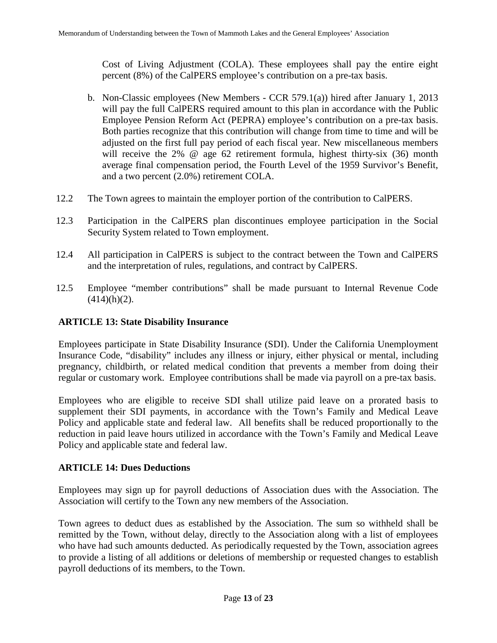Cost of Living Adjustment (COLA). These employees shall pay the entire eight percent (8%) of the CalPERS employee's contribution on a pre-tax basis.

- b. Non-Classic employees (New Members CCR 579.1(a)) hired after January 1, 2013 will pay the full CalPERS required amount to this plan in accordance with the Public Employee Pension Reform Act (PEPRA) employee's contribution on a pre-tax basis. Both parties recognize that this contribution will change from time to time and will be adjusted on the first full pay period of each fiscal year. New miscellaneous members will receive the 2% @ age 62 retirement formula, highest thirty-six (36) month average final compensation period, the Fourth Level of the 1959 Survivor's Benefit, and a two percent (2.0%) retirement COLA.
- 12.2 The Town agrees to maintain the employer portion of the contribution to CalPERS.
- 12.3 Participation in the CalPERS plan discontinues employee participation in the Social Security System related to Town employment.
- 12.4 All participation in CalPERS is subject to the contract between the Town and CalPERS and the interpretation of rules, regulations, and contract by CalPERS.
- 12.5 Employee "member contributions" shall be made pursuant to Internal Revenue Code  $(414)(h)(2)$ .

#### **ARTICLE 13: State Disability Insurance**

Employees participate in State Disability Insurance (SDI). Under the California Unemployment Insurance Code, "disability" includes any illness or injury, either physical or mental, including pregnancy, childbirth, or related medical condition that prevents a member from doing their regular or customary work. Employee contributions shall be made via payroll on a pre-tax basis.

Employees who are eligible to receive SDI shall utilize paid leave on a prorated basis to supplement their SDI payments, in accordance with the Town's Family and Medical Leave Policy and applicable state and federal law. All benefits shall be reduced proportionally to the reduction in paid leave hours utilized in accordance with the Town's Family and Medical Leave Policy and applicable state and federal law.

#### **ARTICLE 14: Dues Deductions**

Employees may sign up for payroll deductions of Association dues with the Association. The Association will certify to the Town any new members of the Association.

Town agrees to deduct dues as established by the Association. The sum so withheld shall be remitted by the Town, without delay, directly to the Association along with a list of employees who have had such amounts deducted. As periodically requested by the Town, association agrees to provide a listing of all additions or deletions of membership or requested changes to establish payroll deductions of its members, to the Town.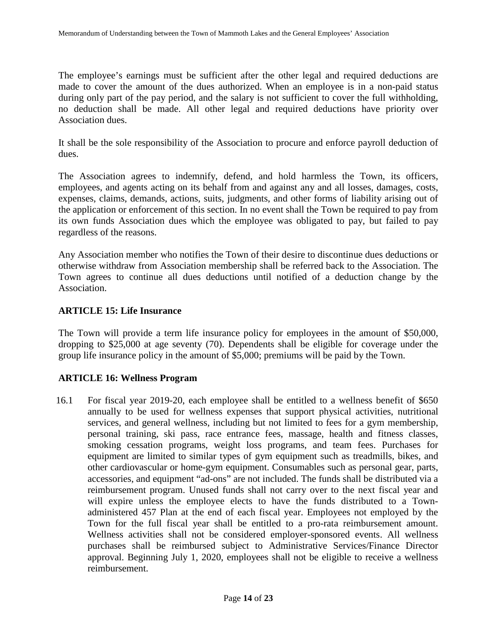The employee's earnings must be sufficient after the other legal and required deductions are made to cover the amount of the dues authorized. When an employee is in a non-paid status during only part of the pay period, and the salary is not sufficient to cover the full withholding, no deduction shall be made. All other legal and required deductions have priority over Association dues.

It shall be the sole responsibility of the Association to procure and enforce payroll deduction of dues.

The Association agrees to indemnify, defend, and hold harmless the Town, its officers, employees, and agents acting on its behalf from and against any and all losses, damages, costs, expenses, claims, demands, actions, suits, judgments, and other forms of liability arising out of the application or enforcement of this section. In no event shall the Town be required to pay from its own funds Association dues which the employee was obligated to pay, but failed to pay regardless of the reasons.

Any Association member who notifies the Town of their desire to discontinue dues deductions or otherwise withdraw from Association membership shall be referred back to the Association. The Town agrees to continue all dues deductions until notified of a deduction change by the Association.

### **ARTICLE 15: Life Insurance**

The Town will provide a term life insurance policy for employees in the amount of \$50,000, dropping to \$25,000 at age seventy (70). Dependents shall be eligible for coverage under the group life insurance policy in the amount of \$5,000; premiums will be paid by the Town.

## **ARTICLE 16: Wellness Program**

16.1 For fiscal year 2019-20, each employee shall be entitled to a wellness benefit of \$650 annually to be used for wellness expenses that support physical activities, nutritional services, and general wellness, including but not limited to fees for a gym membership, personal training, ski pass, race entrance fees, massage, health and fitness classes, smoking cessation programs, weight loss programs, and team fees. Purchases for equipment are limited to similar types of gym equipment such as treadmills, bikes, and other cardiovascular or home-gym equipment. Consumables such as personal gear, parts, accessories, and equipment "ad-ons" are not included. The funds shall be distributed via a reimbursement program. Unused funds shall not carry over to the next fiscal year and will expire unless the employee elects to have the funds distributed to a Townadministered 457 Plan at the end of each fiscal year. Employees not employed by the Town for the full fiscal year shall be entitled to a pro-rata reimbursement amount. Wellness activities shall not be considered employer-sponsored events. All wellness purchases shall be reimbursed subject to Administrative Services/Finance Director approval. Beginning July 1, 2020, employees shall not be eligible to receive a wellness reimbursement.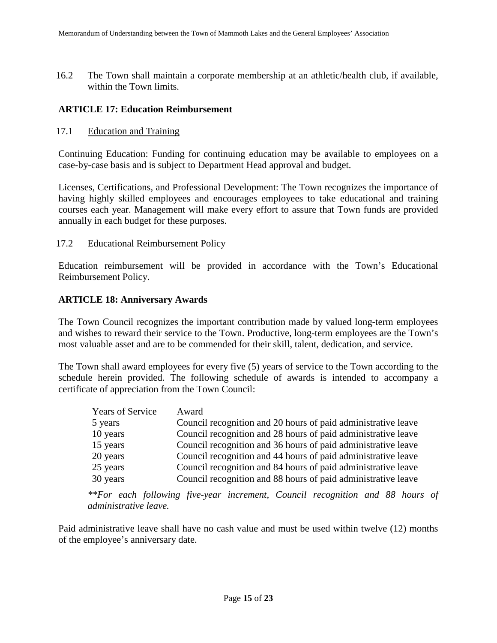16.2 The Town shall maintain a corporate membership at an athletic/health club, if available, within the Town limits.

### **ARTICLE 17: Education Reimbursement**

#### 17.1 Education and Training

Continuing Education: Funding for continuing education may be available to employees on a case-by-case basis and is subject to Department Head approval and budget.

Licenses, Certifications, and Professional Development: The Town recognizes the importance of having highly skilled employees and encourages employees to take educational and training courses each year. Management will make every effort to assure that Town funds are provided annually in each budget for these purposes.

#### 17.2 Educational Reimbursement Policy

Education reimbursement will be provided in accordance with the Town's Educational Reimbursement Policy.

### **ARTICLE 18: Anniversary Awards**

The Town Council recognizes the important contribution made by valued long-term employees and wishes to reward their service to the Town. Productive, long-term employees are the Town's most valuable asset and are to be commended for their skill, talent, dedication, and service.

The Town shall award employees for every five (5) years of service to the Town according to the schedule herein provided. The following schedule of awards is intended to accompany a certificate of appreciation from the Town Council:

| <b>Years of Service</b> | Award                                                         |
|-------------------------|---------------------------------------------------------------|
| 5 years                 | Council recognition and 20 hours of paid administrative leave |
| 10 years                | Council recognition and 28 hours of paid administrative leave |
| 15 years                | Council recognition and 36 hours of paid administrative leave |
| 20 years                | Council recognition and 44 hours of paid administrative leave |
| 25 years                | Council recognition and 84 hours of paid administrative leave |
| 30 years                | Council recognition and 88 hours of paid administrative leave |

*\*\*For each following five-year increment, Council recognition and 88 hours of administrative leave.*

Paid administrative leave shall have no cash value and must be used within twelve (12) months of the employee's anniversary date.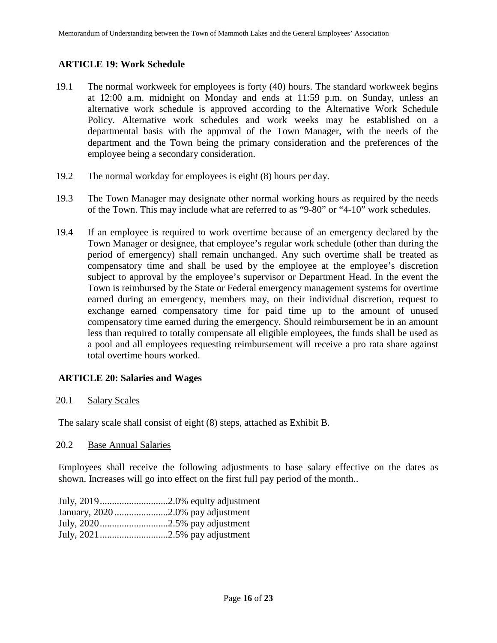## **ARTICLE 19: Work Schedule**

- 19.1 The normal workweek for employees is forty (40) hours. The standard workweek begins at 12:00 a.m. midnight on Monday and ends at 11:59 p.m. on Sunday, unless an alternative work schedule is approved according to the Alternative Work Schedule Policy. Alternative work schedules and work weeks may be established on a departmental basis with the approval of the Town Manager, with the needs of the department and the Town being the primary consideration and the preferences of the employee being a secondary consideration.
- 19.2 The normal workday for employees is eight (8) hours per day.
- 19.3 The Town Manager may designate other normal working hours as required by the needs of the Town. This may include what are referred to as "9-80" or "4-10" work schedules.
- 19.4 If an employee is required to work overtime because of an emergency declared by the Town Manager or designee, that employee's regular work schedule (other than during the period of emergency) shall remain unchanged. Any such overtime shall be treated as compensatory time and shall be used by the employee at the employee's discretion subject to approval by the employee's supervisor or Department Head. In the event the Town is reimbursed by the State or Federal emergency management systems for overtime earned during an emergency, members may, on their individual discretion, request to exchange earned compensatory time for paid time up to the amount of unused compensatory time earned during the emergency. Should reimbursement be in an amount less than required to totally compensate all eligible employees, the funds shall be used as a pool and all employees requesting reimbursement will receive a pro rata share against total overtime hours worked.

## **ARTICLE 20: Salaries and Wages**

20.1 Salary Scales

The salary scale shall consist of eight (8) steps, attached as Exhibit B.

#### 20.2 Base Annual Salaries

Employees shall receive the following adjustments to base salary effective on the dates as shown. Increases will go into effect on the first full pay period of the month..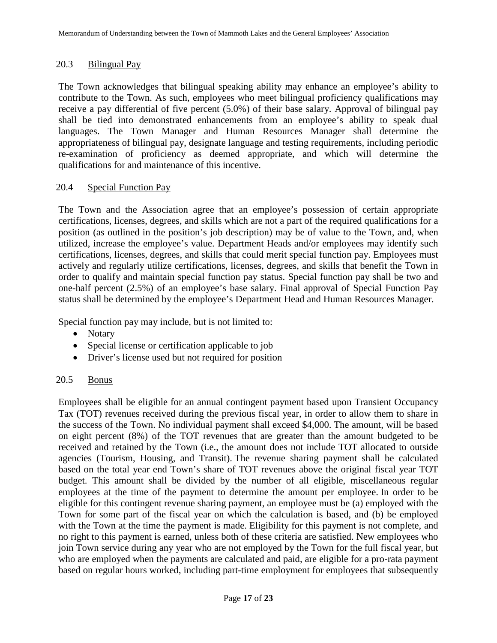## 20.3 Bilingual Pay

The Town acknowledges that bilingual speaking ability may enhance an employee's ability to contribute to the Town. As such, employees who meet bilingual proficiency qualifications may receive a pay differential of five percent (5.0%) of their base salary. Approval of bilingual pay shall be tied into demonstrated enhancements from an employee's ability to speak dual languages. The Town Manager and Human Resources Manager shall determine the appropriateness of bilingual pay, designate language and testing requirements, including periodic re-examination of proficiency as deemed appropriate, and which will determine the qualifications for and maintenance of this incentive.

## 20.4 Special Function Pay

The Town and the Association agree that an employee's possession of certain appropriate certifications, licenses, degrees, and skills which are not a part of the required qualifications for a position (as outlined in the position's job description) may be of value to the Town, and, when utilized, increase the employee's value. Department Heads and/or employees may identify such certifications, licenses, degrees, and skills that could merit special function pay. Employees must actively and regularly utilize certifications, licenses, degrees, and skills that benefit the Town in order to qualify and maintain special function pay status. Special function pay shall be two and one-half percent (2.5%) of an employee's base salary. Final approval of Special Function Pay status shall be determined by the employee's Department Head and Human Resources Manager.

Special function pay may include, but is not limited to:

- Notary
- Special license or certification applicable to job
- Driver's license used but not required for position

## 20.5 Bonus

Employees shall be eligible for an annual contingent payment based upon Transient Occupancy Tax (TOT) revenues received during the previous fiscal year, in order to allow them to share in the success of the Town. No individual payment shall exceed \$4,000. The amount, will be based on eight percent (8%) of the TOT revenues that are greater than the amount budgeted to be received and retained by the Town (i.e., the amount does not include TOT allocated to outside agencies (Tourism, Housing, and Transit). The revenue sharing payment shall be calculated based on the total year end Town's share of TOT revenues above the original fiscal year TOT budget. This amount shall be divided by the number of all eligible, miscellaneous regular employees at the time of the payment to determine the amount per employee. In order to be eligible for this contingent revenue sharing payment, an employee must be (a) employed with the Town for some part of the fiscal year on which the calculation is based, and (b) be employed with the Town at the time the payment is made. Eligibility for this payment is not complete, and no right to this payment is earned, unless both of these criteria are satisfied. New employees who join Town service during any year who are not employed by the Town for the full fiscal year, but who are employed when the payments are calculated and paid, are eligible for a pro-rata payment based on regular hours worked, including part-time employment for employees that subsequently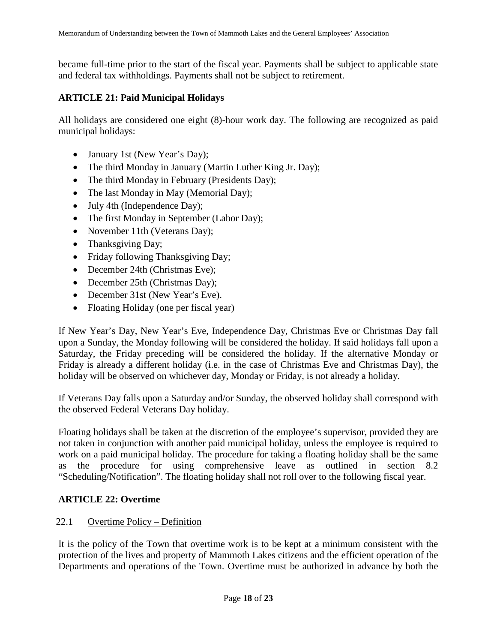became full-time prior to the start of the fiscal year. Payments shall be subject to applicable state and federal tax withholdings. Payments shall not be subject to retirement.

## **ARTICLE 21: Paid Municipal Holidays**

All holidays are considered one eight (8)-hour work day. The following are recognized as paid municipal holidays:

- January 1st (New Year's Day);
- The third Monday in January (Martin Luther King Jr. Day);
- The third Monday in February (Presidents Day);
- The last Monday in May (Memorial Day);
- July 4th (Independence Day);
- The first Monday in September (Labor Day);
- November 11th (Veterans Day);
- Thanksgiving Day;
- Friday following Thanksgiving Day;
- December 24th (Christmas Eve);
- December 25th (Christmas Day);
- December 31st (New Year's Eve).
- Floating Holiday (one per fiscal year)

If New Year's Day, New Year's Eve, Independence Day, Christmas Eve or Christmas Day fall upon a Sunday, the Monday following will be considered the holiday. If said holidays fall upon a Saturday, the Friday preceding will be considered the holiday. If the alternative Monday or Friday is already a different holiday (i.e. in the case of Christmas Eve and Christmas Day), the holiday will be observed on whichever day, Monday or Friday, is not already a holiday.

If Veterans Day falls upon a Saturday and/or Sunday, the observed holiday shall correspond with the observed Federal Veterans Day holiday.

Floating holidays shall be taken at the discretion of the employee's supervisor, provided they are not taken in conjunction with another paid municipal holiday, unless the employee is required to work on a paid municipal holiday. The procedure for taking a floating holiday shall be the same as the procedure for using comprehensive leave as outlined in section 8.2 "Scheduling/Notification". The floating holiday shall not roll over to the following fiscal year.

## **ARTICLE 22: Overtime**

## 22.1 Overtime Policy – Definition

It is the policy of the Town that overtime work is to be kept at a minimum consistent with the protection of the lives and property of Mammoth Lakes citizens and the efficient operation of the Departments and operations of the Town. Overtime must be authorized in advance by both the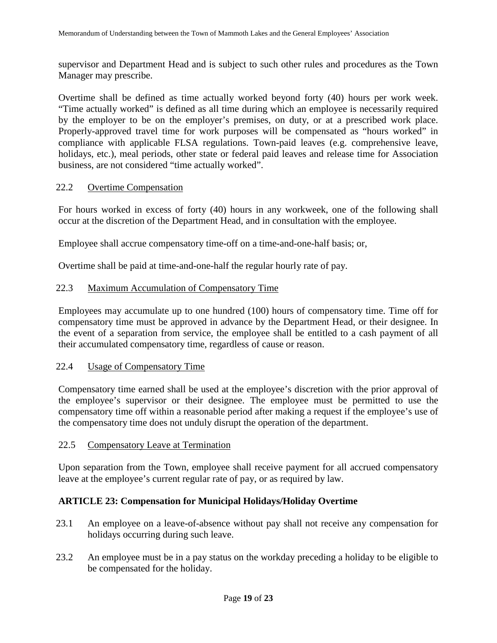supervisor and Department Head and is subject to such other rules and procedures as the Town Manager may prescribe.

Overtime shall be defined as time actually worked beyond forty (40) hours per work week. "Time actually worked" is defined as all time during which an employee is necessarily required by the employer to be on the employer's premises, on duty, or at a prescribed work place. Properly-approved travel time for work purposes will be compensated as "hours worked" in compliance with applicable FLSA regulations. Town-paid leaves (e.g. comprehensive leave, holidays, etc.), meal periods, other state or federal paid leaves and release time for Association business, are not considered "time actually worked".

### 22.2 Overtime Compensation

For hours worked in excess of forty (40) hours in any workweek, one of the following shall occur at the discretion of the Department Head, and in consultation with the employee.

Employee shall accrue compensatory time-off on a time-and-one-half basis; or,

Overtime shall be paid at time-and-one-half the regular hourly rate of pay.

### 22.3 Maximum Accumulation of Compensatory Time

Employees may accumulate up to one hundred (100) hours of compensatory time. Time off for compensatory time must be approved in advance by the Department Head, or their designee. In the event of a separation from service, the employee shall be entitled to a cash payment of all their accumulated compensatory time, regardless of cause or reason.

#### 22.4 Usage of Compensatory Time

Compensatory time earned shall be used at the employee's discretion with the prior approval of the employee's supervisor or their designee. The employee must be permitted to use the compensatory time off within a reasonable period after making a request if the employee's use of the compensatory time does not unduly disrupt the operation of the department.

#### 22.5 Compensatory Leave at Termination

Upon separation from the Town, employee shall receive payment for all accrued compensatory leave at the employee's current regular rate of pay, or as required by law.

## **ARTICLE 23: Compensation for Municipal Holidays/Holiday Overtime**

- 23.1 An employee on a leave-of-absence without pay shall not receive any compensation for holidays occurring during such leave.
- 23.2 An employee must be in a pay status on the workday preceding a holiday to be eligible to be compensated for the holiday.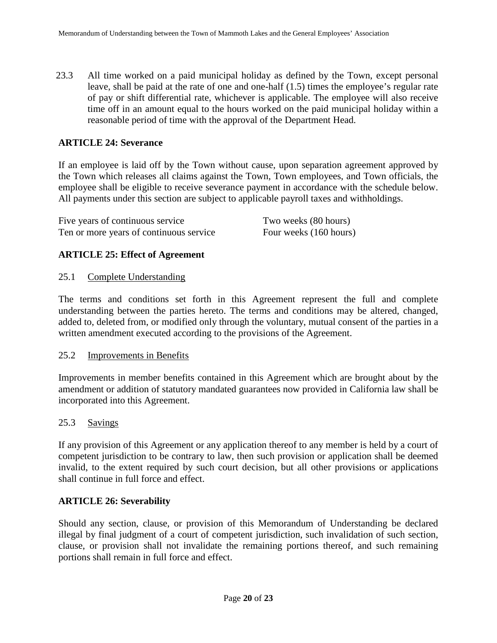23.3 All time worked on a paid municipal holiday as defined by the Town, except personal leave, shall be paid at the rate of one and one-half (1.5) times the employee's regular rate of pay or shift differential rate, whichever is applicable. The employee will also receive time off in an amount equal to the hours worked on the paid municipal holiday within a reasonable period of time with the approval of the Department Head.

### **ARTICLE 24: Severance**

If an employee is laid off by the Town without cause, upon separation agreement approved by the Town which releases all claims against the Town, Town employees, and Town officials, the employee shall be eligible to receive severance payment in accordance with the schedule below. All payments under this section are subject to applicable payroll taxes and withholdings.

| Five years of continuous service        | Two weeks (80 hours)   |
|-----------------------------------------|------------------------|
| Ten or more years of continuous service | Four weeks (160 hours) |

### **ARTICLE 25: Effect of Agreement**

#### 25.1 Complete Understanding

The terms and conditions set forth in this Agreement represent the full and complete understanding between the parties hereto. The terms and conditions may be altered, changed, added to, deleted from, or modified only through the voluntary, mutual consent of the parties in a written amendment executed according to the provisions of the Agreement.

#### 25.2 Improvements in Benefits

Improvements in member benefits contained in this Agreement which are brought about by the amendment or addition of statutory mandated guarantees now provided in California law shall be incorporated into this Agreement.

#### 25.3 Savings

If any provision of this Agreement or any application thereof to any member is held by a court of competent jurisdiction to be contrary to law, then such provision or application shall be deemed invalid, to the extent required by such court decision, but all other provisions or applications shall continue in full force and effect.

#### **ARTICLE 26: Severability**

Should any section, clause, or provision of this Memorandum of Understanding be declared illegal by final judgment of a court of competent jurisdiction, such invalidation of such section, clause, or provision shall not invalidate the remaining portions thereof, and such remaining portions shall remain in full force and effect.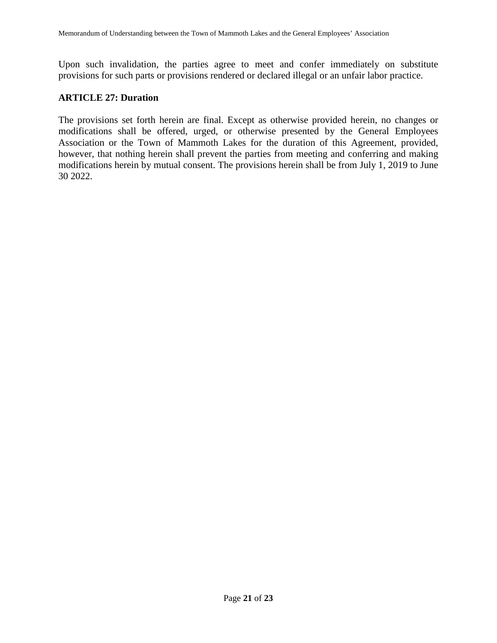Upon such invalidation, the parties agree to meet and confer immediately on substitute provisions for such parts or provisions rendered or declared illegal or an unfair labor practice.

#### **ARTICLE 27: Duration**

The provisions set forth herein are final. Except as otherwise provided herein, no changes or modifications shall be offered, urged, or otherwise presented by the General Employees Association or the Town of Mammoth Lakes for the duration of this Agreement, provided, however, that nothing herein shall prevent the parties from meeting and conferring and making modifications herein by mutual consent. The provisions herein shall be from July 1, 2019 to June 30 2022.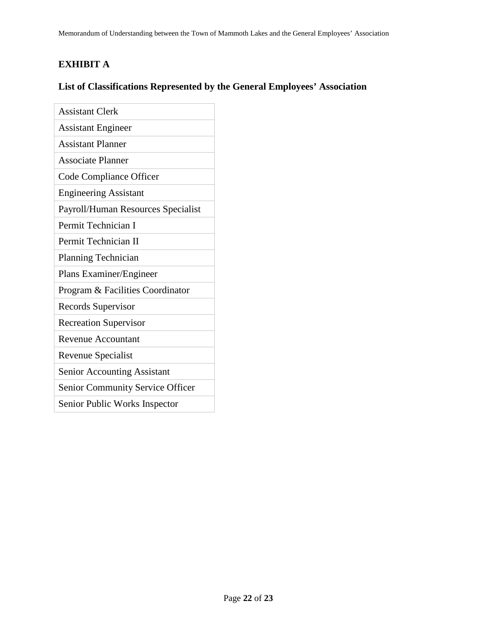# **EXHIBIT A**

# **List of Classifications Represented by the General Employees' Association**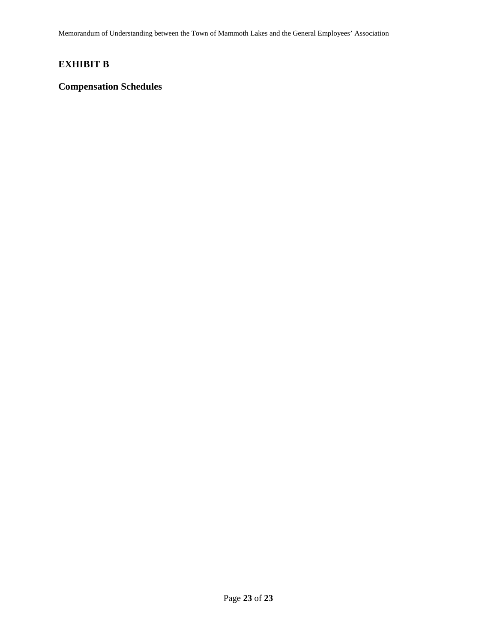Memorandum of Understanding between the Town of Mammoth Lakes and the General Employees' Association

# **EXHIBIT B**

## **Compensation Schedules**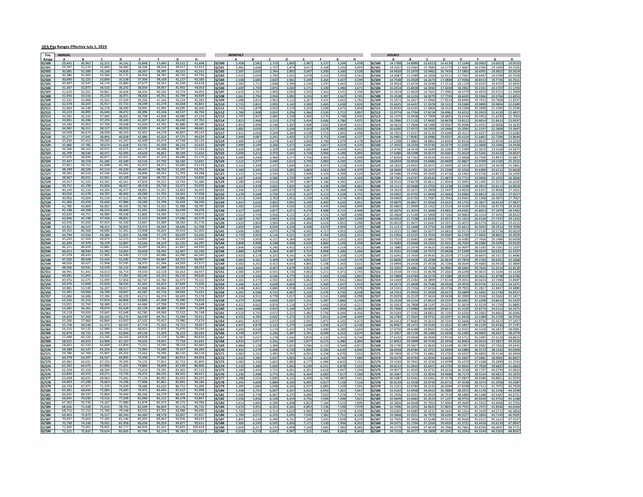#### GEA Pay Ranges Effective July 1, 2019

| Pav            | ANNUAL           |                  |                  |                  |                  |                  |                  |                  | <b>MONTHLY</b> |                |                |                |                   |               |                |               |                | <b>HOURLY</b>  |                  |                    |                   |                  |                    |                  |                  |                   |
|----------------|------------------|------------------|------------------|------------------|------------------|------------------|------------------|------------------|----------------|----------------|----------------|----------------|-------------------|---------------|----------------|---------------|----------------|----------------|------------------|--------------------|-------------------|------------------|--------------------|------------------|------------------|-------------------|
| Rang           |                  |                  |                  |                  |                  |                  | G                |                  | G/100          | 2.458          | 2.581          | 2.710          | D                 | 2.98          |                | G             |                |                | 14,1788          | 14,8880            | 15.6322           | 16.4139          | 17,2346            | 18,0962          | 19.001           | 19.951            |
| G/100<br>G/101 | 29,492<br>29.787 | 30,967<br>31.276 | 32,515<br>32,840 | 34,141<br>34.482 | 35,848<br>36.206 | 37,640<br>38.016 | 39,522<br>39.917 | 41,498<br>41.91  | G/101          | 2,482          | 2,60           | 2,737          | 2,845<br>2,874    | 3,01          | 3,13<br>3,168  | 3,29<br>3,32  | 3,458<br>3,493 | G/100<br>G/101 | 14.320           | 15.0365            | 15.788            | 16.577           | 17.406             | 18.276           |                  |                   |
| G/102          | 30,085           | 31,589           | 33,168           | 34,826           | 36,567           | 38,395           | 40,315           | 42,331           | G/102          | 2.50           | 2.637          | 2.764          | 2.902             | 3.04          | 3,200          | 3.36          | 3.528          | G/102          | 14,463           | 15,1870            | 15,946            | 16.743           | 17,580             | 18.459           | 19,382           | 20.351            |
| G/103          | 30.386           | 31.90            | 33.500           | 35.17            | 36.934           | 38.783           | 40.720           | 42.756           | G/103          | 2,53           | 2.659          | 2,792          | 2.931             | 3.078         | 3.23           | 3.39          | 3.563          | G/103          | 14.608           | 15.3389            | 16.105            | 16.911           | 17.756             | 18.644           | 19.576           | 20.555            |
| G/104          | 30,690           | 32,225           | 33,836           | 35.528           | 37,304           | 39,169           | 41,127           | 43,183           | G/104          | 2,558          | 2.685          | 2.820          | 2.96              | 3.109         | 3,264          | 3.42          | 3.599          | G/104          | 14.754           | 15.4928            | 16.267            | 17,080           | 17,934             | 18.831           | 19,772           | 20.761            |
| G/105          | 30,997           | 32,547           | 34,174           | 35,883           | 37.677           | 39.561           | 41.539           | 43,616           | 5/105          | 2,583          | 2,71           | 2,848          | 2,990             | 3,14          | 3,297          | 3,46          | 3,63           | G/105          | 14.902           | 15.6476            | 16.429            | 17.251           | 18.1139            | 19.019           | 19.970           | 20.969            |
| G/106          | 31,307           | 32,872           | 34,516           | 36,242           | 38,054           | 39.957           | 41,955           | 44,053           | G/106          | 2,609          | 2,73           | 2,87           | 3,02              | 3,17          | 3,33           |               | 3,67           | G/106          | 15.051           | 15.8038            |                   |                  | 18.295             | 19.210           |                  | 21.179            |
| G/107          | 31,620           | 33.20            | 34.861           | 36.60            | 38.434           | 40.356           | 42.374           | 44.49            | G/107          | 2.635          | 2.76           | 2.905          | 3.05              | 3.20          | 3.363          | 3.53          | 3.708          | G/107          | 15.201           | 15.9620            | 16.760            | 17.598           | 18.477             | 19,401           | 20.372           | 21.390            |
| G/108<br>G/109 | 31,936<br>32,255 | 33,533<br>33,868 | 35,210<br>35,561 | 36,97:<br>37,339 | 38,820<br>39,206 | 40,761<br>41,166 | 42.799<br>43,224 | 44.939<br>45.38  | G/108<br>G/109 | 2.661<br>2.688 | 2.794<br>2.822 | 2,934<br>2.963 | 3.08<br>3.112     | 3.23<br>3.26  | 3,397<br>3,431 | 3.56<br>3.60  | 3,74<br>3.782  | G/108<br>G/109 | 15.35<br>15.507  | 16.1216<br>16.2827 | 16.927<br>17.096  | 17.774<br>17.951 | 18.663<br>18.849   | 19.596<br>19.791 | 20.576<br>20.780 | 21.605<br>21.819  |
| G/110          | 32,578           | 34,207           | 35,917           | 37,713           | 39,599           | 41.579           | 43.658           | 45,841           | 5/110          | 2,715          | 2,85           | 2,993          | 3,143             | 3,30          | 3,465          | 3,63          | 3,82           | G/110          | 15.662           | 16.4457            | 17.267            | 18.131           | 19.0380            | 19.989           | 20.989           | 22.0389           |
| 3/111          | 32.904           | 34.549           | 36.276           | 38,090           | 39.995           | 41.995           | 44.095           | 46.300           | G/111          | 2,742          | 2,87           | 3,023          | 3,174             | 3,33          | 3,50           | 3,67          | 3,858          | G/111          | 15.819           | 16.6101            | 17.440            | 18.312           | 19.228             | 20.189           |                  |                   |
| G/112          | 33,233           | 34,895           | 36,640           | 38,472           | 40.396           | 42,416           | 44.537           | 46.764           | G/112          | 2.769          | 2.908          | 3.053          | 3.20              | 3.36          | 3.535          | 3.71          | 3.897          | G/112          | 15.977           | 16.7764            | 17.615            | 18.496           | 19.421             | 20.392           | 21.412           | 22.482            |
| G/113          | 33,565           | 35,24            | 37,005           | 38.85.           | 40,798           | 42.838           | 44.980           | 47,229           | G/113          | 2.797          | 2.93.          | 3.084          | 3.238             | 3.40          | 3,57           | 3.74          | 3,93           | G/113          | 16.137           | 16.9438            | 17.790            | 18.680           | 19.6144            | 20.595           | 21.625           | 22.706            |
| G/114          | 33.901           | 35.596           | 37.376           | 39.245           | 41.207           | 43.267           | 45.430           | 47.702           | G/114          | 2,825          | 2,966          | 3,115          | 3,270             | 3,434         | 3,606          | 3,78          | 3.97           | G/114          | 16.298           | 17.1135            | 17.969            | 18.867           | 19.811             | 20.801           | 21.841           | 22.933            |
| G/115          | 34.240           | 35.952           | 37,750           | 39.638           | 41.620           | 43.701           | 45.886           | 48.180           | G/115          | 2,853          | 2,99           | 3,146          | 3,303             | 3,46          | 3,642          | 3,82          | 4,01           | G/115          | 16.461           | 17.2846            | 18.149            | 19.056           | 20.009             | 21.010           | 22.060           | 23.163            |
| G/116          | 34,582           | 36,311           | 38,127           | 40,033           | 42,035           | 44,137           | 46,344           | 48,663           | G/116          | 2,882          | 3,02           | 3,177          | 3,336             | 3.50          | 3,678          | 3,86          | 4,05           | G/116          | 16.626           | 17.4572            | 18.330            | 19.246           | 20.209             | 21.219           | 22.280           | 23.394            |
| G/117          | 34.928<br>35,277 | 36.67<br>37.041  | 38.508<br>38.893 | 40.43<br>40.83   | 42.455<br>42.880 | 44.578<br>45.024 | 46.807<br>47.275 | 49.147<br>49,63  | G/117          | 2.911          | 3.05           | 3.209          | 3.369             | 3.538         | 3.719          | 3.90          | 4.096          | G/117          | 16.792           | 17.6317            | 18.513            | 19.438           | 20.411             | 21.431           | 22.503           | 23.6284           |
| G/118<br>G/119 | 35.630           | 37.412           | 39.283           | 41.247           | 43.309           | 45.474           | 47.748           | 50.135           | G/118<br>G/119 | 2,940<br>2.969 | 3,08<br>3.113  | 3,241<br>3.274 | 3.403<br>3.43     | 3,57<br>3.60  | 3,752<br>3.79  | 3,94<br>3.97  | 4,13<br>4.17   | G/118<br>G/119 | 16,960<br>17 129 | 17,8082<br>17.986  | 18.698<br>18,886  | 19.633<br>19.830 | 20.615<br>20.821   | 21.646<br>21.862 | 22.728           | 23.864<br>24.103  |
| G/120          | 35,986           | 37,785           | 39,674           | 41.658           | 43,741           | 45,928           | 48,224           | 50,635           | G/120          | 2,999          | 3,14           | 3,306          | 3,472             | 3,64          | 3,82           | 4,01          | 4,22           | G/120          | 17.301           | 18.1659            | 19.074            | 20.027           | 21.029             | 22.080           | 23.184           | 24.343            |
| G/121          | 36,346           | 38,16            | 40,071           | 42,07            | 44,179           | 46.388           | 48,707           | 51,14            | G/121          | 3,029          | 3.18           | 3,339          | 3,50              | 3,68          | 3,86           | 4,05          | 4,26           | G/121          | 17.474           | 18.3476            | 19.264            | 20.228           | 21.239             | 22.301           | 23.416           | 24.58             |
| G/122          | 36.709           | 38.544           | 40.471           | 42.495           | 44.620           | 46.851           | 49.194           | 51.654           | G/122          | 3,059          | 3.212          | 3.373          | 3.541             | 3.718         | 3,904          | 4.10          | 4.305          | G/122          | 17.648           | 18.5308            | 19.457            | 20.430           | 21.4519            | 22.524           | 23.651           | 24.833            |
| G/123          | 37.076           | 38.930           | 40.877           | 42.921           | 45.067           | 47.320           | 49.686           | 52.170           | G/123          | 3,090          | 3,244          | 3,406          | 3,577             | 3,75          | 3,943          | 4,14          | 4,348          | G/123          | 17.825           | 18.7163            | 19.652            | 20.635           | 21.666             | 22.750           | 23.887           | 25.081            |
| G/124          | 37.447           | 39.319           | 41.285           | 43.349           | 45.516           | 47.792           | 50.182           | 52.69'           | G/124          | 3,121          | 3.277          | 3.440          | 3,612             | 3,79          | 3,983          | 4.18          | 4.393          | G/124          | 18.003           | 18,9034            | 19,848            | 20,840           | 21.882             | 22.976           |                  |                   |
| G/125          | 37,821           | 39,712           | 41,698           | 43,783           | 45,972           | 48,271           | 50,685           | 53,219           | G/125          | 3,152          | 3,309          | 3,475          | 3,649             | 3,83          | 4,02           | 4,22          | 4,43           | G/125          | 18.18            | 19.0923            | 20.047            | 21.049           | 22.101             | 23.20            | 24.36            |                   |
| G/126<br>G/127 | 38,199<br>38.581 | 40,10<br>40.51   | 42,114<br>42.536 | 44,22<br>44.663  | 46,431<br>46.896 | 49.243           | 51,191<br>51.703 | 54.288           | G/126          | 3,18           | 3,34           | 3,510          | 3,68!             | 3.86          | 4,06           | 4,26          | 4,47           | G/126          | 18.364           | 19.2832            | 20.247            | 21.259<br>21.472 | 22.322             | 23.438           | 24.61:           |                   |
|                | 38.967           | 40.915           | 42.961           | 45.109           | 47.364           | 49.732           | 52.219           | 54,830           | G/127<br>G/128 | 3,215          | 3.376<br>3,410 | 3.545<br>3,580 | 3.72              | 3.90<br>3,947 | 4.103<br>4,144 | 4.30<br>4,35  | 4.524<br>4,569 | G/127          | 18.548<br>18.734 | 19.4760<br>19.6707 | 20.450            | 21.687           | 22.546<br>22.771   | 23.673<br>23.909 | 24.857<br>25.105 | 26.100<br>26.360  |
| G/128<br>G/129 | 39.357           | 41.325           | 43.391           | 45.561           | 47.839           | 50.231           | 52.743           | 55.380           | G/129          | 3,247<br>3,280 | 3.444          | 3,616          | 3,759<br>3,797    | 3,98          | 4,186          | 4.39          | 4,61           | G/128<br>G/129 | 18.921           | 19.8678            | 20.654<br>20.861  | 21.904           | 22.999             | 24.149           |                  |                   |
| G/130          | 39,751           | 41,73            | 43,826           | 46,01            | 48,318           | 50,734           | 53,271           | 55,93            | G/130          | 3,313          | 3,478          | 3,652          | 3,835             | 4,02          | 4,228          | 4,43          | 4,661          | G/130          | 19.111           | 20.0668            | 21.070            |                  | 23.229             | 24.391           | 25.611           | 26.891            |
| G/131          | 40.149           | 42.15            | 44.264           | 46.47            | 48.801           | 51.243           |                  |                  | G/131          | 3,346          | 3.511          | 3,689          | 3.87              | 4.06          | 4,27           | 4,48          | 4,70           | G/131          |                  | 20.2673            | 21.280            |                  | 23.462             | 24.635           |                  | 27.160            |
| G/132          | 40.550           | 42.578           | 44,707           | 46.942           | 49.289           | 51.753           | 54.341           | 57.058           | G/132          | 3.379          | 3.548          | 3,726          | 3.912             | 4.107         | 4,313          | 4.528         | 4.755          | G/132          | 19.495           | 20.4702            | 21.493            | 22.5683          | 23.6966            | 24,881           | 26.125           | 27.431            |
| G/133          | 40.956           | 43.004           | 45.154           | 47.412           | 49.783           | 52.272           | 54.886           | 57.630           | G/133          | 3,413          | 3,584          | 3,763          | 3,951             | 4,149         | 4,356          | 4,57          | 4,80           | G/133          | 19.690           | 20,6750            | 21,708            | 22.794           | 23.9341            | 25.130           | 26.387           | 27.706            |
| i/134          | 41.366           | 43.434           | 45.606           | 47.88            | 50.280           | 52.794           | 55.434           | 58.206           | G/134          | 3.447          | 3,620          | 3,801          | 3,99:             | 4.19          | 4,400          | 4,62          | 4,85           | G/134          | 19.88            | 20.8817            | 21.92             |                  | 24.173             | 25.381           |                  |                   |
| G/135          | 41,780<br>42.198 | 43,869<br>44.308 | 46,062<br>46.523 | 48,365<br>48.84  | 50,783<br>51.291 | 53,322<br>53.856 | 55,988<br>56.549 | 58,787<br>59.376 | G/135          | 3,482          | 3,65           | 3,839          | 4,03              | 4.23          | 4,444          | 4,66          | 4,899          | G/135          | 20.086           | 21.0909            | 22.145            | 23.252           | 24,414             | 25.635           | 26.917           | 28.263            |
| G/136<br>G/137 | 42.620           | 44.751           | 46.989           | 49.338           | 51.805           | 54.395           | 57.115           | 59.971           | G/136<br>G/137 | 3.517<br>3,552 | 3.69<br>3.729  | 3.877<br>3,916 | 4.07<br>4.112     | 4.27<br>4.31  | 4.488<br>4,533 | 4.71<br>4.76  | 4.94<br>4.998  | G/136<br>G/137 | 20.287<br>20.490 | 21.3019<br>21.5149 | 22.366<br>22.590  | 23.720           | 24.659<br>24.906   | 25.892<br>26.151 | 27.187<br>27.459 | 28.546<br>28.832  |
| G/138          | 43.046           | 45.198           | 47.458           | 49.831           | 52.323           | 54.939           | 57.686           | 60.570           | G/138          | 3,587          | 3,767          | 3,955          | 4,153             | 4,36          | 4,578          | 4,80          | 5,048          | G/138          | 20.695           | 21.7298            | 22.816            | 23.957           | 25.155             | 26.413           | 27.733           | 29.120            |
| G/139          | 43.476           | 45.65            | 47.933           | 50.33            | 52.847           | 55.489           | 58.263           | 61.176           | 3/139          | 3.623          | 3.80           | 3,994          | 4.194             | 4.40          | 4,624          | 4.85          | 5.09           | 5/139          | 20,901           | 21.9471            | 23.044            | 24.197           | 25.407             | 26.677           |                  | 29.41:            |
| G/140          | 43,911           | 46,107           | 48,412           | 50,83            | 53,375           | 56,044           | 58,846           | 61,788           | G/140          | 3,659          | 3.842          | 4,034          | 4,236             | 4,44          | 4,670          | 4,90          | 5,149          | G/140          | 21.111           | 22.1668            | 23.275            |                  | 25.661             | 26.944           | 28.291           | 29.705            |
| G/141          | 44.350           | 46.56            | 48.896           | 51.341           | 53.908           | 56,603           | 59.433           | 62.40            | G/141          | 3.696          | 3.88           | 4.075          | 4.278             | 4.49          | 4.71           | 4.95          | 5.200          | G/141          | 21.322           | 22.3885            | 23.507            | 24.683           | 25.917             | 27.213           | <b>28 573</b>    | 30.002            |
| G/142          | 44.794           | 47.034           | 49.386           | 51.855           | 54.448           | 57.170           | 60.029           | 63.030           | G/142          | 3,733          | 3.920          | 4,116          | 4.321             | 4.53          | 4,764          | 5,00          | 5,253          | G/142          | 21.535           | 22.6125            | 23.743            | 24,930           | 26.1769            | 27,485           | 28.860           | 30.302            |
| G/143          | 45.242           | 47.504           | 49.879           | 52.373           | 54.992           | 57.742           | 60.629           | 63.660           | G/143          | 3,770          | 3,959          | 4,157          | 4,364             | 4,58          | 4,812          | 5,05          | 5,305          | G/143          | 21.751           | 22.8385            | 23,980            | 25.179           | 26.438             | 27.760           | 29 148           | 30.6058           |
| G/144<br>G/145 | 45,694<br>46,151 | 47.979<br>48,45  | 50,378<br>50,882 | 52.897<br>53,42  | 55,542<br>56,097 | 58,319<br>58,902 | 61.235<br>61,847 | 64.297<br>64,939 | G/144<br>G/145 | 3.80<br>3,846  | 3.99<br>4.038  | 4,198<br>4,240 | 4.408<br>4,452    | 4.62<br>4.67  | 4.86<br>4,909  | 5.10<br>5,15  | 5.35<br>5,41   | G/144<br>G/145 | 22.188           | 23.0668<br>23.2976 | 24.220<br>24.462  |                  | 26.702<br>26.969   | 28.03<br>28.318  | 29.734           | 31.220            |
| G/146          | 46.613           | 48.944           | 51.391           | 53.961           | 56.659           | 59.492           | 62.467           | 65.590           | G/146          | 3.884          | 4.079          | 4.283          | 4.49              | 4.72          | 4.958          | 5.20          | 5.466          | G/146          | 22.410           | 23.5308            | 24,707            | 25.942           | 27.2399            | 28,601           | 30.032           | 31.533            |
| G/147          | 47.079           | 49.433           | 51.905           | 54,500           | 57.225           | 60.086           | 63.090           | 66.245           | G/147          | 3.923          | 4.119          | 4.325          | 4.542             | 4.769         | 5.007          | 5.25          | 5.520          | G/147          | 22.634           | 23,7659            | 24.954            | 26.201           | 27.5120            | 28.887           | 30.331           | 31.848            |
| G/148          | 47,550           | 49,928           | 52,424           | 55,045           | 57,797           | 60,687           | 63,721           | 66,907           | G/148          | 3,963          | 4,16           | 4,369          | 4,587             | 4,81          | 5,05           | 5,31          | 5,576          | G/148          |                  | 24.0038            | 25.203            |                  | 27.787             | 29.176           | 30.63            | 32.166            |
| G/149          | 48,026           | 50.427           | 52.948           | 55.595           | 58,375           | 61.294           | 64.359           |                  | G/149          | 4.002          | 4.202          | 4,412          | 4,633             | 4.86          | 5,108          | 5.36          | 5,63           | G/149          | 23.089           | 24.2438            | 25.455            | 26.728           | 28.064             | 29,468           |                  |                   |
| G/150          | 48,506           | 50,931           | 53,478           | 56,152           | 58,960           | 61,908           | 65,003           | 68.253           | G/150          | 4,042          | 4.244          | 4,457          | 4,679             | 4,91          | 5,159          | 5,41          | 5,688          | G/150          | 23.320           | 24.4861            | 25.710            | 26.996           | 28.3462            | 29.763           | 31.251           | 32.813            |
| G/151          | 48.991           | 51.441           | 54.013           | 56.714           | 59.550           | 62.528           | 65.654           | 68.937           | G/151          | 4.083          | 4.287          | 4,501          | 4.726             | 4.96          | 5,211          | 5,47          | 5,749          | G/151          | 23.553           | 24.7313            | 25.967            | 27.266           | 28.629             | 30.061           | 31.564           | 33.142            |
| G/152          | 49.481           | 51.955           | 54.553           | 57.281           | 60.145<br>60.747 | 63.152           | 66.310<br>66.973 | 69.626           | G/152          | 4,123          | 4.330          | 4,546          | 4.773             | 5,012         | 5,263          | 5,520         | 5,802          | G/152          | 23.788           | 24.9784            | 26.227            | 27.538           | 28.9159            | 30.361           | 31.879           | 33.474            |
| G/153<br>G/154 | 49,976<br>50,476 | 52,475<br>53,00  | 55,099<br>55,650 | 57,854<br>58.433 | 61,355           | 63,784<br>64.423 | 67.644           | 70,32<br>71,02   | G/153<br>G/154 | 4,165<br>4,206 | 4,37<br>4.417  | 4,592<br>4,638 | 4,821<br>4.869    | 5,06<br>5.11  | 5,315<br>5,369 | 5,58<br>5.63  | 5,860<br>5,919 | G/153<br>G/154 | 24.026<br>24.267 | 25.2284<br>25.4808 | 26.489<br>26.754  | 27.814<br>28.092 | 29.205<br>29.497   | 30.665<br>30.972 |                  | 33.808            |
| G/155          | 50,981           | 53.530           | 56,207           | 59.01            | 61.968           | 65.066           | 68.319           | 71.735           | G/155          | 4.248          | 4.463          | 4.684          | 4.918             | 5.164         | 5,422          | 5,69          | 5.978          | G/155          | 24.510           | 25.7356            | 27.022            | 28.373           | 29.792             | 31.281           | 32.845           | 34.488            |
| G/156          | 51.491           | 54.066           | 56.769           | 59.60            | 62.587           | 65.716           | 69,002           | 72.452           | G/156          | 4.291          | 4.506          | 4.731          | 4.967             | 5.21          | 5,476          | 5.75          | 6.038          | G/156          | 24.755           | 25.9933            | 27.292            | 28.657           | 30.089             | 31.594           | 33.174           | 34.832            |
| G/157          | 52.006           | 54.606           | 57.336           | 60.203           | 63.213           | 66.374           | 69.693           | 73.178           | G/157          | 4,334          |                | 4,778          | 5,01              |               | 5,53           | 5,80          | 6,098          | G/157          | 25.00            | 26.2529            |                   | 28.943           | 30.390             | 31.910           |                  |                   |
| G/158          | 52,526           | 55,152           | 57.910           | 60,80            | 63.846           | 67,038           | 70,390           | 73,910           | G/158          | 4,377          | 4.59           | 4,826          | 5,067             | 5,32          | 5,58           | 5,86          | 6,159          | G/158          | 25.252           | 26.5154            | 27,841            | 29.233           | 30.695             | 32.229           |                  | 35.533            |
| G/159          | 53,051           |                  | 58,489           |                  | 64,484           |                  | 71,093           |                  | <b>S/159</b>   | 4.421          | 4.642          | 4,874          | 5.118             | 5.37          | 5,642          | 5.92          | 6,22           | G/159          | 25.505           | 26.7808            | 28.119            |                  | 31.001             | 32.551           |                  |                   |
| G/160          | 53,582           | 56,261           | 59,074           | 62.028           | 65,129           | 68.385           | 71,804           | 75,394           | G/160          | 4.465          | 4.688          | 4,923          | 5.169             | 5.42          | 5.699          | 5.98          | 6.283          | G/160          | 25.760           | 27.0486            | 28.401            | 29.821           | 31.3120            | 32.877           | 34.521           | 36.247            |
| G/161<br>G/162 | 54.118<br>54,659 | 56.824<br>57,392 | 59.665<br>60,262 | 62.648<br>63,275 | 65.780<br>66.439 | 69.069<br>69,761 | 72.522<br>73.249 | 76.148<br>76,91  | G/161<br>G/162 | 4.510<br>4,555 | 4.73<br>4,78   | 4.972<br>5,022 | 5,221<br>5,275    | 5,48<br>5,53  | 5,756<br>5,81  | 6.04<br>6, 10 | 6.346<br>6,40  | G/161<br>G/162 | 26.018<br>26.278 | 27.3192<br>27.5923 | 28.685<br>28.97   | 30.119<br>30.420 | 31.625<br>31.9418  | 33.206<br>33.538 | 34.866           | 36.609<br>36.976  |
| G/163          | 55,206           | 57,966           | 60,864           | 63,90            | 67,102           | 70,457           | 73,980           | 77,679           | G/163          | 4.601          | 4.83           | 5,072          | 5.32(             | 5.59          | 5,87           | 6.16          | 6.47           | G/163          | 26.541           | 27.8683            | 29.261            | 30.724           | 32.2606            | 33.873           |                  | 37.345            |
| G/164          | 55,758           | 58.546           | 61,473           | 64.54            | 67,774           | 71.163           | 74.721           | 78,457           | G/164          | 4.647          | 4.87           | 5,123          | 5.379             | 5.648         | 5.930          | 6.22          | 6.538          | G/164          | 26,806           | 28.1471            | 29.554            | 31.032           | 32.583             | 34.213           | 35.925           | 37.719            |
| G/165          | 56,316           | 59,132           | 62,089           | 65.19            | 68,453           | 71.876           | 75.470           | 79,244           | G/165          | 4.693          | 4.92           | 5,174          | 5.43              | 5.70          | 5.990          | 6.28          | 6.604          | G/165          | 27.075           | 28.4288            | 29,850            | 31.342           | 32.910             | 34.555           | 36.283           | 38.098            |
| G/166          | 56,879           | 59,723           | 62,709           | 65,844           | 69,136           | 72,593           | 76.223           | 80,034           | 3/166          | 4,740          | 4,977          | 5,226          | 5,487             | 5,76          | 6,049          | 6,35          | 6,67           | G/166          | 27.345           | 28.7130            | 30.148            | 31.655           | 33.238             | 34.900           | 36.645           | 38.477            |
| G/167          | 57.448           | 60.320           | 63.336           | 66.503           | 69.828           | 73.319           | 76.985           | 80.834           | 3/167          | 4,787          |                | 5,278          | 5.542             |               | 6,110          | 6,41          |                | G/167          | 27.619           | 29.0000            | 30.450            | 31.972           | 33.571             | 35.249           |                  |                   |
| G/168          | 58,022<br>58,602 | 60,923           | 63,969<br>64,609 | 67,167<br>67.83  | 70,525<br>71,231 | 74,051<br>74.793 | 77,754<br>78.533 | 81,642<br>82,460 | G/168          | 4.835          | 5,07           | 5,331          | 5,597             | 5,87          | 6,171          | 6.48          | 6.80           | G/168          | 27.895           | 29.2899            | 30.754            | 32.291           | 33.906             | 35.601           | 37,381           | 39.251            |
| G/169          | 59,188           | 61,53.<br>62.147 | 65.254           | 68.51            | 71,943           | 75,540           | 79.317           | 83.283           | G/169<br>G/170 | 4.884<br>4.932 | 5.12<br>5.17   | 5.384<br>5.438 | 5.653<br>5.710    | 5.93<br>5.99  | 6.23<br>6.295  | 6.54<br>6.610 | 6.87<br>6.940  | G/169<br>G/170 | 28.174<br>28.455 | 29.5827<br>29.8784 | 31.062<br>31.372  | 32.614<br>32,940 | 34.245<br>34.588   | 35.958<br>36.317 | 37.75F<br>38.133 | 39.644<br>40.0399 |
| G/170<br>G/171 | 59,780           | 62,769           | 65,907           | 69,202           | 72.662           | 76,295           | 80.110           | 84,116           | G/171          | 4,982          | 5,23           | 5,492          | 5,767             | 6,05          | 6,358          | 6,67          | 7,01           | G/171          | 28.740           | 30.1774            | 31.686            | 33.270           | 34.933             | 36.680           | 38.514           | 40.4404           |
| G/172          | 60,378           | 63,397           | 66,567           | 69,895           | 73,390           | 77,060           | 80,913           | 84,959           | G/172          | 5,032          | 5,28           | 5,547          | 5,825             | 6,11          | 6,422          | 6,74          | 7,08           | G/172          | 29.02            | 30.4793            | 32.003            | 33.603           | 35.283             | 37.048           | 38,900           | 40.845            |
| G/173          | 60,982           | 64,03            | 67.233           | 70.59            | 74.125           | 77.83            | 81.723           | 85,809           | G/173          | 5.082          | 5.33           | 5.603          | 5.883             | 6.17          | 6.486          | 6.81          | 7.151          | G/173          | 29.318           | 30.7841            | 32.323            | 33.939           | 35.637             | 37.418           | 39.289           | 41.2543           |
| G/174          | 61,592           | 64,672           | 67,906           | 71,30            | 74,866           | 78,609           | 82,539           | 86,666           | G/174          | 5,133          | 5.38           | 5,659          | 5.94              | 6,23          | 6,55           | 6,87          | 7,22           | G/174          | 29.61            | 31.0923            | 32.647            | 34.279           | 35.993             | 37.792           | 39.682           | 41.666            |
| G/175          | 62.208           | 65.318           | 68.584           | 72.013           | 75.614           | 79.395           | 83.365           | 87.533           | G/175          | 5.184          | 5.443          | 5.715          | 6.00 <sup>1</sup> | 6.30          | 6.616          | 6.94          | 7.294          | G/175          | 29.907           | 31.4029            | 32.973            | 34.621           | 36.352             | 38.170           | 40.079           | 42.083            |
| G/176          | 62,830           | 65,972<br>66.631 | 69,271<br>69.963 | 72,735           | 76,372<br>77.134 | 80,191           | 84,201           | 88,411           | G/176          | 5,236          | 5,49           | 5,773          | 6,06              | 6.36          | 6,68           | 7,01          | 7,368          | G/176          | 30.206           | 31.7173            | 33.303            | 34.968           | 36.717             | 38.553           | 40,481           | 42.505            |
| G/177          | 63,458           |                  |                  | 73.461<br>74.196 |                  | 80.991           | 85,041           | 89,293           | G/177          | 5,288          |                | 5,830          | 6,12              | 6,42          | 6,749          | 7,08          | 7,44           | G/177          | 30.508           | 32.034             | 33.636            | 35.317           | 37.083             | 38.938           | 41.293           | 42.929            |
| G/178<br>G/179 | 64,093<br>64,734 | 67,298<br>67,97  | 70,663<br>71,370 | 74.93            | 77,906<br>78.686 | 81,801<br>82,620 | 85,891<br>86.751 | 90,186<br>91.089 | G/178<br>G/179 | 5.341<br>5,395 | 5.608<br>5,664 | 5.889<br>5,948 | 6.18<br>6.245     | 6.49<br>6.55  | 6.817<br>6,88  | 7.15<br>7,22  | 7.516<br>7,59  | G/178<br>G/179 | 30.813<br>31.122 | 32.3548<br>32.6784 | 33.972<br>34.312  | 35.671<br>36.028 | 37.4548<br>37.8298 | 39.327<br>39.721 | 41.707           | 43.3587<br>43.792 |
| G/180          | 65.381           | 68.650           | 72.083           | 75.687           | 79.471           | 83.445           | 87.617           | 91.998           | G/180          | 5.448          | 5.72           | 6,007          | 6.30              | 6.62          | 6,954          | 7.30          | 7.667          | G/180          | 31.433           | 33.0048            | 34.655            | 36.388           | 38.2072            | 40.117           | 42.123           | 44.229            |
| G/181          | 66,035           | 69.337           | 72.804           | 76,444           | 80.266           | 84.279           | 88.493           | 92,918           | 5/181          | 5,503          | 5,77           | 6,067          | 6,370             | 6,68          | 7,02           | 7,37          | 7,743          | G/181          | 31.747           | 33.3351            | 35.00             | 36.751           | 38.589             | 40.518           | 42.544           | 44.672            |
| G/182          | 66,69            | 70,03            | 73,532           | 77,209           | 81,069           | 85,122           | 89,378           | 93,84            | G/182          | 5.558          | 5.83           | 6,128          | 6,43              | 6.75          | 7,094          | 7.44          | 7,82           | G/182          | 32.064           | 33.6683            | 35.351            | 37.119           | 38.975             | 40.924           | 42.970           | 45.118            |
| G/183          | 67.362           | 70.73            | 74.267           | 77.98            | 81.879           | 85.97            | 90.272           | 94.786           | G/183          | 5.614          | 5.894          | 6.189          | 6.498             | 6.82          | 7.164          | 7.52          | 7.899          | G/183          | 32.385           | 34.0048            | 35.705            | 37.490           | 39.364             | 41.333           | 43.400           | 45.570            |
| G/184          | 68,036           | 71,43            | 75,010           | 78.761           | 82.699           | 86.834           | 91.176           | 95,73            | G/184          | 5,670          | 5.95           | 6,251          | 6.563             | 6.89          | 7.236          | 7.59          | 7.978          | G/184          | 32,709           | 34.3452            | 36.062            | 37.865           | 39.759             | 41,747           | 43.834           | 46.026            |
| i/185          | 68.716           | 72.153           | 75.760           | 79.548           | 83.525           | 87.70'           | 92.086           | 96.690           | G/185          | 5.726          | 6.01           | 6.313          | 6.62              |               | 7.308          |               | 8.05           | G/185          | 33.036           | 34,688             | 36.42             | 38.244           | 40.156             | 42.163           | AA 273           | 46.485            |
| G/186          | 69,403<br>70.09  | 72,873<br>73.60  | 76,517<br>77.282 | 80,343<br>81.14  | 84,360<br>85.203 | 88,578<br>89.46  | 93,007           | 97,657           | 3/186          | 5,784          | 6,07           | 6,376          | 6,69!             | 7,03          | 7,382          | 7,75          | 8,138          | G/186          | 33.366<br>33.700 | 35.035:            | 36.787            | 38.626<br>39.012 | 40.55              | 42.585           | 44.714<br>45.161 | 46.950            |
| G/187<br>G/188 | 70.798           | 74.338           | 78.055           | 81.958           | 86.056           | 90.359           | 94.877           | 99.621           | 5/187<br>G/188 | 5,841<br>5,900 | 6.13<br>6.195  | 6,440<br>6,505 | 6.76<br>6.830     | 7,10<br>7.17  | 7,45<br>7,530  | 7,82<br>7.90  | 8,21<br>8,30   | G/187<br>G/188 | 34.037           | 35.385<br>35.7394  | 37.154<br>37.5264 | 39,402           | 40.963<br>41.373   | 43.011<br>43.441 | 45.613           | 47.419<br>47.8947 |
| G/189          | 71,506           | 75,081           | 78.835           | 82.777           | 86,916           | 91.262           | 95.825           | 100.61           | G/189          | 5,959          | 6,25           | 6,570          | 6,89              | 7,24          | 7,60           | 7,98          | 8,38           | G/189          | 34.377           | 36.0966            | 37.9014           | 39.7966          | 41.786             | 43.876           | 46.0697          | 48.373            |
| G/190          | 72.221           | 75.832           | 79,624           | 83.605           | 87.785           | 92.174           | 96.783           | 101.622          |                | 6,018          | 6.31           | 6,635          | 6.967             |               | 7.681          | 8.06          | 8.46           | G/190          | 34.721           | 36.4577            | 38.280            | 40.194           | 42.204             | 44.3144          | 46.530           | 48.856            |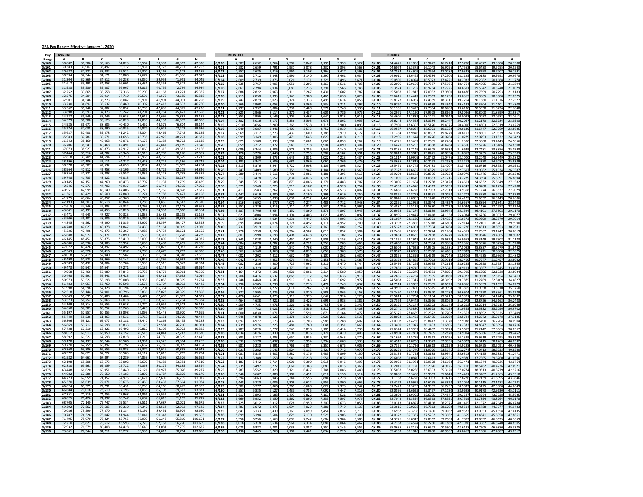#### GEA Pay Ranges Effective January 1, 2020

| Pay            | ANNUAL           |                  |                  |                  |                  |                  |                  |                   | <b>MONTHLY</b> |                       |                           |                |                |                |                |                  |                |                |                  |                    |                       |                   |                   |                  |                    |                   |
|----------------|------------------|------------------|------------------|------------------|------------------|------------------|------------------|-------------------|----------------|-----------------------|---------------------------|----------------|----------------|----------------|----------------|------------------|----------------|----------------|------------------|--------------------|-----------------------|-------------------|-------------------|------------------|--------------------|-------------------|
| Range<br>G/100 | 30,082           | 31,586           | 33,165           | D<br>34,823      | 36,564           | 38,392           | G<br>40,312      | н<br>42,328       | G/100          | 2,507                 | 2,63                      | 2,764          | D<br>2,902     | 3,047          | 3,199          | G<br>3,35        | 3,527          | G/100          | 14,462           | B.<br>15.1856      | $\epsilon$<br>15.9447 | D<br>16,7418      | 17.5788           | 18,4577          | G<br>19,380        | 20.350            |
| G/101          | 30,383           | 31,902           | 33,497           | 35,17            | 36.931           | 38.778           | 40,717           | 42,75             | G/101          | 2.53                  | 2,65                      | 2,791          | 2,93           | 3,07           | 3.23           | 3,39             | 3,563          | G/101          | 14.607           | 15.3375            | 16.104                | 16.909            | 17.755            | 18.643           |                    | 20.554            |
| G/102          | 30.687           | 32.221           | 33.832           | 35.52            | 37.300           | 39.165           | 41.123           | 43.179            | G/102          | 2,557                 | 2,685                     | 2,819          | 2,960          | 3,10           | 3,264          | 3,42             | 3,598          | G/102          | 14.753           | 15.4909            | 16.265                | 17.078            | 17.932            | 18.829           | 19.770             | 20.759            |
| G/103          | 30.994           | 32.544           | 34.171           | 35.880           | 37.674           | 39.558           | 41.536           | 43.613            | G/103          | 2,583                 | 2.71                      | 2,848          | 2.990          | 3.14           | 3,297          | 3,46             | 3,634          | G/103          | 14.901           | 15.6462            | 16.428                | 17.2500           | 18.112            | 19.018           | 19.969             | 20.967            |
| G/104          | 31.304           | 32.869           | 34.512           | 36.238           | 38.050<br>38.431 | 39.953           | 41.951           | 44,049            | G/104          | 2,609                 | 2,739                     | 2,876          | 3,020          | 3,171          | 3,329          | 3,49             | 3,671          | G/104          | 15.050           | 15.8024            | 16.592                | 17,422            | 18.293            | 19.208           | 20.168             | 21.177            |
| G/105<br>G/106 | 31,617<br>31,933 | 33,198<br>33,530 | 34,858<br>35,207 | 36,601           | 38,815           | 40,353<br>40,75  | 42,371<br>42,794 | 44,490<br>44,934  | G/105<br>G/106 | 2.635<br>2.661        | 2.767<br>2,79             | 2,905<br>2,934 | 3.050<br>3,081 | 3.20<br>3,23   | 3,363<br>3,39  | 3.53<br>3.56     | 3.708<br>3,749 | G/105<br>G/106 | 15.200           | 15.9606<br>16.1202 | 16.758<br>16.926      |                   | 18.476<br>18.661  | 19,400<br>19.594 | 20.370             | 21.602            |
| G/107          | 32,252           | 33,865           | 35,558           | 37,336           | 39,203           | 41.163           | 43.221           | 45.383            | G/107          | 2.688                 | 2.82                      | 2.963          | 3.11           | 3.26           | 3.430          | 3.60             | 3.782          | G/107          | 15.505           | 16.2813            | 17.095                | 17.950            | 18.847            | 19.789           | 20 779             | 21.818            |
| G/108          | 32,575           | 34.20            | 35.914           | 37.71            | 39.596           | 41.576           | 43.655           | 45.838            | G/108          | 2,715                 | 2.850                     | 2,993          | 3,143          | 3,30           | 3,465          | 3,63             | 3,820          | G/108          | 15.661           | 16.4442            | 17,266                | 18.129            | 19.036            | 19.988           | 20.983             | 22.037            |
| G/109          | 32,901           | 34.546           | 36.273           | 38.08            | 39.991           | 41.993           | 44.091           | 46.29             | G/109          | 2.742                 | 2.879                     | 3,023          | 3.174          | 3,33           | 3,499          | 3,67             | 3,858          | G/109          | 15.817           | 16,6087            | 17.438                | 18.311            | 19.226            | 20.188           | 21.193             |                   |
| G/110<br>G/111 | 33,230<br>33,562 | 34.892<br>35,24  | 36,637<br>37,002 | 38,469<br>38.85  | 40,392<br>40,795 | 42.412<br>42,835 | 44,533<br>44.977 | 46,760<br>47,226  | G/110<br>G/111 | 2,769<br>2,797        | 2.90 <sub>i</sub><br>2.93 | 3,053<br>3,084 | 3.206<br>3,238 | 3.36<br>3.40   | 3.53<br>3,57   | 3.71<br>3.74     | 3.89<br>3,93   | G/110<br>G/111 | 15.976<br>16.135 | 16.7750<br>16.9423 | 17.613<br>17.789      | 18.494<br>18.678  | 19.419<br>19.613  | 20,390           |                    | 22.704            |
| G/112          | 33,898           | 35,593           | 37,373           | 39,242           | 41,204           | 43,264           | 45.427           | 47.698            | G/112          | 2.825                 | 2.966                     | 3,114          | 3.270          | 3.434          | 3.605          | 3.78             | 3.975          | G/112          | 16.297           | 17.1120            | 17.967                | 18,866            | 19,8096           | 20.593<br>20,800 | 21,839             | 22.931            |
| G/113          | 34,237           | 35.949           | 37.746           | 39.63            | 41.615           | 43.696           | 45.881           | 48.17             | G/113          | 2,853                 | 2.99                      | 3,146          | 3,303          | 3,46           | 3,641          | 3,82             | 4,01           | G/113          | 16.460           | 17.2832            | 18.147                | 19.054            | 20,007            | 21.007           | 22.058             | 23.161            |
| G/114          | 34,579           | 36.308           | 38,123           | 40,029           | 42.030           | 44.132           | 46.339           | 48.656            | G/114          | 2,882                 | 3,02                      | 3,177          | 3,336          | 3,50           | 3,678          | 3,86             | 4,05           | G/114          | 16.624           | 17.4558            | 18.328                | 19.244            | 20.206            | 21.217           |                    |                   |
| G/115          | 34,925<br>35,274 | 36,671           | 38.505           | 40,430<br>40.83  | 42,452<br>42,877 | 44,575           | 46,804<br>47,272 | 49,144            | G/115          | 2.910                 | 3.05                      | 3,209          | 3.369          | 3.53           | 3.71           | 3.90             | 4,09           | G/115          | 16.790           | 17.6303            | 18.512                |                   | 20.409            | 21,430           |                    | 23.626            |
| G/116<br>G/117 | 35,627           | 37,038<br>37.408 | 38,890<br>39.278 | 41.242           | 43.304           | 45,021<br>45.469 | 47.742           | 49,636<br>50.129  | G/116<br>G/117 | 2.940<br>2.969        | 3.087<br>3.117            | 3.241<br>3.277 | 3.40<br>3.437  | 3.57<br>3.609  | 3.75<br>3.789  | 3.93<br>3.97     | 4.13<br>4.177  | G/116<br>G/117 | 16.958<br>17.128 | 17,8067<br>17.9846 | 18.697<br>18.883      | 19.632<br>19.827  | 20.613<br>20.819  | 21.644<br>21.860 | 22.952             | 24.100            |
| G/118          | 35,983           | 37.782           | 39.671           | 41.65            | 43.738           | 45.925           | 48.221           | 50.632            | G/118          | 2,999                 | 3,149                     | 3,306          | 3,471          | 3,64           | 3,827          | 4,01             | 4,219          | G/118          | 17.299           | 18.1644            | 19.072                | 20.026            | 21.027            | 22.079           | 23.18              | 24.342            |
| G/119          | 36.343           | 38.160           | 40.068           | 42.07            | 44.175           | 46.384           | 48.703           | 51.138            | G/119          | 3,029                 | 3,180                     | 3,339          | 3.50           | 3,68           | 3,86           | 4,05             | 4,26           | G/119          |                  | 18.346             | 19.26                 |                   | 21.238            | 22.300           |                    |                   |
| G/120          | 36,706           | 38,541           | 40.468<br>40.873 | 42,49            | 44,616<br>45.063 | 46,847           | 49,189<br>49.682 | 51,648            | G/120          | 3,059                 | 3.21                      | 3,372          | 3,541          | 3.71           | 3,904          | 4,09             | 4,30           | G/120          | 17.647           | 18.5293            | 19.455                |                   | 21,450            | 22.522           | 23.648             |                   |
| G/121<br>G/122 | 37,073<br>37,444 | 38.92<br>39.316  | 41.282           | 42.91<br>43.346  | 45.513           | 47.316<br>47.789 | 50.178           | 52.166<br>52.687  | 5/121<br>G/122 | 3.089<br>3,120        | 3.244<br>3.276            | 3.406<br>3.440 | 3.57<br>3.612  | 3.75<br>3.797  | 3.943<br>3.982 | 4.14<br>4.183    | 4.347<br>4.391 | G/121<br>G/122 | 17.82<br>18.001  | 18.7149<br>18.9019 | 19.650<br>19.847      | 20.633<br>20.839  | 21.664<br>21.881  | 22.748<br>22.975 | 24.124             | 25.079<br>25.330  |
| G/123          | 37,818           | 39,709           | 41.694           | 43.77            | 45.968           | 48.266           | 50.679           | 53,213            | G/123          | 3,152                 | 3,309                     | 3,475          | 3,648          | 3,83           | 4,02           | 4,22             | 4,434          | G/123          | 18.181           | 19.0909            | 20.045                | 21.047            | 22.100            | 23.204           | 24.364             | 25.583            |
| G/124          | 38,196           | 40,106           | 42,111           | 44.217           | 46,428           | 48,749           | 51,186           | 53,745            | G/124          | 3,183                 | 3,342                     | 3,509          | 3,68           | 3,86           | 4,06           | 4,26             | 4,47           | G/124          |                  | 19.2817            | 20.24                 |                   | 22.321            | 23.437           |                    |                   |
| G/125          | 38,578           | 40.50            | 42.532           | 44.65            | 46,892           | 49.237           | 51.699           | 54.28             | G/125          | 3,215                 | 3.37                      | 3.544          | 3.722          | 3.90           | 4,10           | 4.30             | 4,52           | G/125          | 18.547           | 19.4745            | 20.448                |                   | 22.544            | 23.671           | 24.85              | 26.098:           |
| G/126<br>G/127 | 38,964<br>39,354 | 40,912<br>41,322 | 42,958<br>43,388 | 45,10<br>45.55   | 47,361<br>47.835 | 49,729<br>50,227 | 52,215<br>52.738 | 54,826<br>55.375  | G/126<br>G/127 | 3.247<br>3.280        | 3.40<br>3.444             | 3.580<br>3.616 | 3.759<br>3.796 | 3.94<br>3.98   | 4.144<br>4.186 | 4.35<br>4.39     | 4.56<br>4.61   | G/126<br>G/127 | 18.732<br>18.920 | 19.6692<br>19.8663 | 20.652<br>20.859      | 21.685<br>21.902  | 22.769<br>22.997  | 23,908<br>24.147 | 25.103<br>25.35/   | 26.358<br>26.622  |
| G/128          | 39,748           | 41.735           | 43,822           | 46,013           | 48,314           | 50,730           | 53,267           | 55,930            | G/128          | 3,312                 | 3,47                      | 3,652          | 3,834          | 4,02           | 4,228          | 4,43             | 4,661          | G/128          | 19.109           | 20.0649            | 21.068                | 22.121            | 23.2279           | 24.389           | 25.609             | 26.8894           |
| G/129          | 40,145           | 42,152           | 44,260           | 46.473           | 48.797           | 51.237           | 53.799           | 56,489            | 3/129          | 3,345                 | 3,51                      | 3,688          | 3,87           |                | 4,27           | 4,48             | 4,70           | G/129          |                  | 20.265             | 21.278                | 22.342            | 23.460            | 24.633           |                    | 27.158            |
| G/130          | 40.546           | 42.57            | 44.702           | 46.93            | 49.284           | 51,748           | 54.335           | 57.052            | G/130          | 3.379                 | 3.548                     | 3.725          | 3.91           | 4.10           | 4.312          | 4.52             | 4.754          | G/130          | 19.493           | 20,4678            | 21.491                | 22.565            | 23.694            | 24,878           | 26.122             | 27.4288           |
| G/131          | 40,951           | 42.99<br>43.429  | 45,149<br>45.600 | 47.40<br>47.880  | 49.776<br>50.274 | 52,265<br>52.788 | 54,878           | 57.622<br>58.198  | G/131          | 3.413                 | 3.583                     | 3.762          | 3.95           | 4.14           | 4.355          | 4.57             | 4.80           | G/131          | 19.688           | 20.6726            | 21,706                | 22.791            | 23,930            | 25.127           |                    | 27.702            |
| G/132<br>G/133 | 41,361<br>41,775 | 43.864           | 46.057           | 48.360           | 50,778           | 53,317           | 55.427<br>55,983 | 58.782            | G/132<br>G/133 | 3,447<br>3,481        | 3,619<br>3,65             | 3,800<br>3,838 | 3,990<br>4,03  | 4,19<br>4,23   | 4,399<br>4,443 | 4,61<br>4,66     | 4,850<br>4,899 | G/132<br>G/133 | 19.885<br>20.084 | 20.8793<br>21.0885 | 21.923<br>22.142      | 23.019<br>23.250  | 24.170<br>24.412  | 25.378<br>25.633 | 26.647<br>26.914   | 27.979<br>28.2606 |
| G/134          | 42,193           | 44.303           | 46.518           | 48.844           | 51,286           | 53.850           | 56.543           | 59,370            | G/134          | 3,51                  | 3,69                      | 3,877          | 4,07           | 4,27           | 4,48           | 4,71             | 4,94           | G/134          |                  | 21.299             | 22.364                |                   | 24.656            | 25.88            |                    |                   |
| G/135          | 42,615           | 44.74            | 46.983           | 49.33            | 51.799           | 54.389           | 57.108           | 59.96             | G/135          | 3.551                 | 3.72                      | 3.915          | 4.11           | 4.31           | 4.53           | 4.7 <sup>c</sup> | 4.99           | G/135          | 20.488           | 21.5125            | 22.588                | 23.717            | 24.903            | 26.148           | 27.45              | 28.828            |
| G/136          | 43,041           | 45,193           | 47,453           | 49,826           | 52,317           | 54,933           | 57,680           | 60,564            | G/136          | 3.587                 | 3.766                     | 3.954          | 4.15           | 4.36           | 4,578          | 4.80             | 5,04           | G/136          | 20.692           | 21,7274            | 22.813                | 23.954            | 25.1524           | 26,410           |                    | 29.117            |
| G/137<br>G/138 | 43.471<br>43,906 | 45.645<br>46.101 | 47.927<br>48,406 | 50.323<br>50.826 | 52.839<br>53.367 | 55.481<br>56.035 | 58.255<br>58.837 | 61.168<br>61,779  | G/137<br>G/138 | 3,623<br>3,659        | 3.804<br>3,842            | 3,994<br>4,034 | 4,19<br>4,236  | 4.40<br>4.447  | 4,623<br>4,670 | 4.85<br>4,90     | 5,097<br>5,148 | G/137<br>G/138 | 20.899<br>21.108 | 21.9447<br>22.1639 | 23.041<br>23.272      | 24.193<br>24.435  | 25.403<br>25.657  | 26.673<br>26.939 | 28.287             |                   |
| G/139          | 44.345           | 46.56            | 48.890           | 51.335           | 53,902           | 56.59            | 59.427           |                   | 3/139          | 3,69!                 | 3.88                      | 4,074          | 4.278          | 4.49           | 4,71           | 4.95             | 5,20           | G/139          | 21.319           | 22.3856            | 23.504                | 24.680            | 25.914            | 27.210           |                    |                   |
| G/140          | 44.788           | 47.02            | 49.378           | 51.84            | 54.439           | 57.161           | 60.019           | 63,020            | G/140          | 3.732                 | 3.91                      | 4.115          | 4.32:          | 4.53           | 4.763          | 5.00             | 5.252          | G/140          | 21.532           | 22,609             | 23.739                | 24.926            | 26.172            | 27,481           |                    | 30.298            |
| 1/141          | 45.236           | 47.498           | 49.873           | 52.367           | 54.985           | 57.734           | 60.621           | 63.652            | G/141          | 3,770                 | 3,95                      | 4,156          | 4,364          | 4,58           | 4,81           | 5,05             | 5,30           | G/141          | 21.748           | 22.8356            | 23.977                | 25.176            | 26.435            | 27.756           | 29.144             | 30.60:            |
| G/142<br>G/143 | 45.688<br>46.145 | 47.972<br>48.452 | 50.371<br>50.875 | 52.890<br>53.419 | 55.535<br>56.090 | 58.312<br>58.895 | 61.228<br>61.840 | 64.289<br>64.932  | G/142<br>G/143 | 3,807<br>3,845        | 3,998<br>4,03             | 4,198<br>4,240 | 4.408<br>4,452 | 4.628<br>4,674 | 4,859<br>4,908 | 5,10<br>5,15     | 5,35<br>5,411  | G/142<br>G/143 | 21.965<br>22.185 | 23.0635<br>23.2942 | 24.216<br>24.459      | 25.427<br>25.682  | 26.699<br>26.966  | 28.034<br>28.314 | 29.436<br>29.73    |                   |
| G/144          | 46,606           | 48,93            | 51,383           | 53,95            | 56,650           | 59,483           | 62,457           | 65.58             | G/144          | 3.884                 | 4.07                      | 4,282          | 4.49           | 4.72           | 4,95           | 5.20             | 5,46           | G/144          | 22,406           | 23.5269            | 24.703                |                   | 27.2356           | 28.597           |                    |                   |
| G/145          | 47.072           | 49.426           | 51.897           | 54.49            | 57.217           | 60.078           | 63.082           | 66.236            | G/145          | 3.923                 | 4.11'                     | 4.325          | 4.54           | 4.768          | 5.007          | 5.25             | 5.520          | G/145          | 22.630           | 23.7625            | 24.950                | 26.198            | 27,508            | 28,883           | 30.321             | 31.844            |
| G/146          | 47.543           | 49,920           | 52,416           | 55,037<br>55,587 | 57.789           | 60.678           | 63.712           | 66.898            | G/146          | 3,962                 | 4.160                     | 4,368          | 4,58           | 4,816          | 5,057          | 5,30             | 5,57           | G/146          | 22.857           | 24.0000            | 25.200                | 26.460            | 27.7832           | 29.172           | 30.630             | 32.162            |
| 147            | 48.018           | 50.419           | 52.940           |                  | 58.366           | 61.284           | 64.348           | 67.565            | G/147          | 4,002                 | 4.203                     | 4,412          | 4,632          | 4.86           | 5,107          | 5.36             | 5,630          | G/147          | 23.085           | 24.2399            | 25.451                | 26.724            | 28.060            | 29.463           | 30.936             | 32.483            |
| G/148<br>G/149 | 48,498<br>48,983 | 50,923<br>51,43  | 53,469<br>54,004 | 56,142<br>56,70  | 58,949<br>59,539 | 61,896<br>62,516 | 64,991<br>65,642 | 68,241            | G/148<br>G/149 | 4,042<br>4.082        | 4.244<br>4.28             | 4,456<br>4,500 | 4,679<br>4,72  | 4.91<br>4.96   | 5,158<br>5,21  | 5,41<br>5,47     | 5,687<br>5.744 | G/148<br>G/149 | 23.316<br>23.549 | 24.4822<br>24.7269 | 25.706<br>25.963      | 26.991            | 28.3409<br>28.624 | 29.757<br>30.05  | 31.558             |                   |
| G/150          | 49.473           | 51.947           | 54.544           | 57.271           | 60.135           | 63.142           | 66.299           | 69.614            | G/150          | 4.123                 | 4.329                     | 4.545          | 4.773          | 5.011          | 5,262          | 5.52             | 5.801          | G/150          | 23.785           | 24.9745            | 26.223                | 27.534            | 28.911            | 30.356           | 31.874             | 33.468            |
| 5/151          | 49,968           | 52.466           | 55.089           | 57.843           | 60.735           | 63.772           | 66.961           | 70,309            | G/151          | 4,164                 | 4.37                      | 4,591          | 4,820          | 5,06           | 5,314          | 5,58             | 5,859          | G/151          | 24.023           | 25.2240            | 26.485                | 27.809            | 29.199            | 30.659           | 32.192             | 33.802            |
| G/152          | 50.468           | 52.991           | 55.641           | 58.423           | 61.344           | 64.411           | 67.632           | 71.014            | G/152          | 4.206                 | 4.416                     | 4,637          | 4.869          | 5,11           | 5,368          | 5,63             | 5,918          | G/152          | 24.263           | 25.4764            | 26,750                | 28 088            | 29.492            | 30,966           |                    | 34.141            |
| G/153<br>G/154 | 50,973<br>51,483 | 53,522<br>54,05  | 56,198<br>56,760 | 59,008<br>59.59  | 61,958<br>62,578 | 65,056<br>65,707 | 68,309<br>68,992 | 71,724<br>72,44   | G/153<br>G/154 | 4,248<br>4,290        | 4.460<br>4.50             | 4,683<br>4,730 | 4.917<br>4,967 | 5,16<br>5,21   | 5,421<br>5,476 | 5,69<br>5.74     | 5,977<br>6,03  | G/153<br>G/154 | 24.506<br>24.751 | 25.7317<br>25.9889 | 27.018<br>27.288      | 28.369<br>28.652  | 29.787<br>30.085  | 31.276<br>31.589 | 32.840             | 34.482            |
| G/155          | 51.998           | 54,598           | 57,328           | 60.194           | 63.204           | 66.364           | 69,682           | 73.166            | G/155          | 4.333                 | 4.550                     | 4.777          | 5.016          | 5.26           | 5.530          | 5.80             | 6.097          | G/155          | 24.999           | 26.2490            | 27.561                | 28.9394           | 30.3865           | 31.905           | 33.501             | 35.176            |
| G/156          | 52.518           | 55.144           | 57.901           | 60.796           | 63.836           | 67.028           | 70.379           | 73.898            | G/156          | 4,377                 | 4.595                     | 4,825          | 5,066          | 5,32           | 5,586          | 5,86             | 6,158          | G/156          | 25.249           | 26.5115            | 27.837                | 29.228            | 30.690            | 32.225           | 33.836             | 35.527            |
| G/157          | 53.043           | 55.695           | 58.480           | 61.404           | 64.474           | 67.698           | 71.083           | 74.637            | G/157          | 4,420                 | 4,641                     | 4,873          | 5,117          | 5,37           | 5,642          | 5,92             | 6,220          | G/157          | 25.501           | 26.7764            | 28.115                |                   | 30.997            | 32.547           |                    |                   |
| G/158<br>G/159 | 53,573<br>54,109 | 56,252<br>56,81  | 59,065           | 62,018           | 65,119<br>65,770 | 68,375           | 71.794           | 75,384            | G/158<br>5/159 | 4,464<br>4,509        | 4.688<br>4.735            | 4,922<br>4,971 | 5,168<br>5,220 | 5.42<br>5.48   | 5,698<br>5,75  | 5,98<br>6,04     | 6,282<br>6,34  | G/158<br>G/159 | 25.756<br>26.013 | 27.0442<br>27.3144 | 28.396<br>28,680      | 29,816            | 31.307<br>31.6202 | 32.872<br>33.201 | 34.516             | 36.242<br>36.604  |
| G/160          | 54.650           | 57.383           | 60.252           | 63.265           | 66.428           | 69.749           | 73.236           | 76,898            | G/160          | 4.554                 | 4.783                     | 5.021          | 5.272          | 5.536          | 5.812          | 6.10             | 6.408          | G/160          | 26.274           | 27.5880            | 28.967                | 30.415            | 31.9365           | 33.533           | 35.209             | 36.970            |
| 3/161          | 55.197           | 57.957           | 60.855           | 63.898           | 67.093           | 70.448           | 73,970           | 77.669            | G/161          | 4.600                 | 4.830                     | 5,071          | 5,325          | 5,59           | 5,871          | 6,16             | 6,472          | G/161          | 26.537           | 27,8639            | 29.257                | 30.720            | 32.256            | 33,869           | 35.562             | 37.340            |
| G/162          | 55.749           | 58.536           | 61.463           | 64.536           | 67,763<br>68.440 | 71.151           | 74.709           | 78.444            | G/162          | 4,646                 | 4,878                     | 5,122          | 5,378          | 5,64           | 5,929          | 6,22             | 6,53           | G/162          | 26.802           | 28.1423            | 29.549                |                   | 32.578            | 34.207           |                    |                   |
| G/163<br>G/164 | 56,306<br>56,869 | 59,121<br>59.71  | 62,077<br>62,698 | 65,181<br>65,83  | 69,125           | 71,862<br>72.581 | 75,455<br>76.210 | 79,228<br>80,021  | G/163<br>G/164 | 4,692<br>4.739        | 4.92<br>4.97              | 5,173<br>5,225 | 5,432<br>5.48  | 5,70<br>5.76   | 5,989<br>6.048 | 6.28<br>6.35     | 6,602<br>6,668 | G/163<br>G/164 | 27.070<br>27.340 | 28.4236<br>28,7077 | 29,844<br>30.143      | 31.650            | 32.903<br>33.233  | 34.549<br>34.894 | 36.639             | 38.090<br>38.471  |
| G/165          | 57,438           | 60.310           | 63.326           | 66.492           | 69.817           | 73.308           | 76.973           | 80.822            | G/165          | 4.787                 | 5.026                     | 5.277          | 5.541          | 5.818          | 6,109          | 6.41             | 6.73           | G/165          | 27.614           | 28.9952            | 30.445                | 31.967            | 33.565            | 35.244           | 37.00 <sub>f</sub> | 38.856            |
| G/166          | 58,012           | 60,913           | 63,959           | 67,157           | 70,515           | 74,041           | 77.743           | 81,630            | 3/166          | 4,834                 | 5,07                      | 5,330          | 5,59           | 5,87           | 6,170          | 6,47             | 6,80           | G/166          | 27.890           | 29.2851            | 30.749                | 32.287            | 33.9014           | 35.596           |                    | 39.245            |
| G/167          | 58.592<br>59,178 | 61.523<br>62,137 | 64.598<br>65,244 | 67.828<br>68,506 | 71.219<br>71,931 | 74.780<br>75,528 | 78.519<br>79,304 | 82.44°<br>83,269  | 3/167          | 4,883                 |                           | 5,383          | 5,65           |                | 6,23           |                  | 6,87           | S/167          | 28.451           | 29.577             | 31.05                 | 32.935            | 34.239<br>34.582  | 35.951           | 38.126             | 40.033            |
| G/168<br>G/169 | 59,770           | 62.75            | 65,897           | 69.19            | 72.652           | 76.285           | 80.099           | 84.104            | G/168<br>G/169 | 4,932<br>4.981        | 5,178<br>5.231            | 5,437<br>5.491 | 5,709<br>5.766 | 5,99<br>6.05   | 6,294<br>6.35  | 6,60<br>6.67     | 6,939<br>7.009 | G/168          | 28.735           | 29.8736<br>30.1726 | 31.367<br>31.681      | 33.265            | 34.928            | 36.311<br>36.675 | 38.509             | 40.434            |
| G/170          | 60.368           | 63.386           | 66.555           | 69.883           | 73.377           | 77.046           | 80.898           | 84.943            | G/170          | 5.031                 | 5.283                     | 5,546          | 5.824          | 6.115          | 6,421          | 6.74             | 7.079          | G/169<br>G/170 | 29.023           | 30,4740            | 31.997                | 33.5976           | 35.2774           | 37.041           | 38.893             | 40.838            |
| G/171          | 60,972           | 64.021           | 67,222           | 70,583           | 74.112           | 77,818           | 81.709           | 85,794            | G/171          | 5,081                 | 5,33                      | 5,602          | 5,882          | 6,17           | 6,48           | 6,80             | 7,15           | G/171          | 29.313           | 30.7793            | 32.318                | 33.934            | 35.630            | 37.412           | 39.283             | 41.247            |
| G/172          | 61,582           | 64.661           | 67.894           | 71.289           | 74.853           | 78.596           | 82.526           | 86.652            | G/172          | 5.132                 | 5.38                      | 5,658          | 5.94           | 6.23           | 6.55           | 6.87             | 7.22           | G/172          | 29,606           | 31.0870            | 32.641                |                   | 35.987            | 37.786           |                    |                   |
| G/173          | 62.198<br>62,820 | 65,308<br>65,96  | 68.573<br>69,259 | 72.002<br>72,722 | 75,602<br>76,358 | 79.382<br>80,176 | 83.351<br>84,185 | 87.519<br>88,394  | G/173<br>G/174 | 5.183                 | 5.442<br>5.49             | 5.714<br>5,772 | 6.00<br>6,060  | 6.30<br>6,36   | 6.61<br>6,68   | 6.94<br>7,01     | 7.29<br>7,36   | G/173          | 29.902<br>30.20  | 31.3981<br>31.7120 | 32.967<br>33.297      | 34.616<br>34.962  | 36.347<br>36.710  | 38.164<br>38.546 | 40.072<br>40.47    | 42.076<br>42.497  |
| G/174<br>G/175 | 63.448           | 66.620           | 69.951           | 73.449           | 77.121           | 80.977           | 85.026           | 89.27             | G/175          | $\frac{5,235}{5,287}$ | 5.553                     | 5.829          | 6.12           | 6.42           | 6.748          | 7.08             | 7.440          | G/174<br>G/175 | 30.503           | 32.0288            | 33.630                | 35.312            | 37.077            | 38.931           | 40.877             | 42.92             |
| G/176          | 64,082           | 67,286           | 70,650           | 74,183           | 77,892           | 81,787           | 85,876           | 90,170            | G/176          | 5,340                 | 5,607                     | 5,888          | 6,182          | 6,49           | 6,81           | 7,15             | 7,514          | G/176          | 30.808           | 32.3490            | 33.966                | 35.664            | 37.448            | 39.320           | 41.286             | 43.351            |
| G/177          | 64.723           | 67.959           | 71.357           | 74.92            | 78.671           | 82.605           | 86.735           | 91.07             | 3/177          | 5.394                 | 5.66                      | 5.946          | 6.24           | 6.55           | 6.88           | 7.22             | 7.58           | G/177          | 31.116           | 32.6726            | 34,306                |                   | 37.822            | 39.71            |                    |                   |
| G/178<br>G/179 | 65,370<br>66,024 | 68,639<br>69,32  | 72,071<br>72,791 | 75,675<br>76.43: | 79,459<br>80,253 | 83,432<br>84,266 | 87.604<br>88.479 | 91.984<br>92,903  | G/178<br>G/179 | 5.448<br>5,502        | 5.720<br>5.777            | 6.006<br>6.066 | 6.30<br>6.369  | 6.62<br>6.68   | 6.953<br>7.022 | 7.30<br>7,37     | 7.66<br>7.742  | G/178<br>G/179 | 31.427<br>31.742 | 32.9995<br>33.3293 | 34.649<br>34.995      | 36.382<br>36.745  | 38.2014<br>38.583 | 40.111<br>40.512 | 42.117<br>42.538   | 44.223<br>44.664  |
| G/180          | 66.684           | 70.018           | 73.519           | 77.195           | 81.055           | 85.108           | 89.363           | 93.831            | G/180          | 5.557                 | 5.835                     | 6,127          | 6.43           | 6.75           | 7.092          | 7.44             | 7.819          | G/180          | 32.059           | 33.6625            | 35.345                | 37.113            | 38.9688           | 40.917           | 42.963             | 45.111            |
| G/181          | 67,351           | 70,719           | 74,255           | 77,968           | 81.866           | 85,959           | 90,257           | 94,770            | 3/181          | 5,613                 | 5,89                      | 6,188          | 6,497          | 6,82           | 7,16           | 7,52             | 7,898          | G/181          | 32.380           | 33.9995            | 35.699                | 37.484            | 39.3587           | 41.326           | 43.39              | 45.56             |
| G/182          | 68.02            | 71.42            | 74.997           | 78.747           | 82.684           | 86.818           | 91.159           |                   | 3/182          | 5,669                 | 5.95                      | 6,250          | 6,56           | 6.89           | 7,23!          | 7,59             | 7,97           | G/182          | 32.704           | 34.3394            | 36.056                | 37.859            | 39.751            | 41.739           | 43.826             | 46.017            |
| G/183          | 68.705<br>69,392 | 72.14<br>72,86   | 75.747<br>76.505 | 79.53<br>80.33   | 83.511<br>84.347 | 87.687<br>88.564 | 92.071<br>92.992 | 96.67<br>97,642   | G/183<br>G/184 | 5.725                 | 6.01                      | 6.312          | 6.62<br>6.694  | 6.95<br>7.02   | 7.307          | 7.67             | 8.056          | G/183          | 33.031<br>33.361 | 34.6827<br>35.0298 | 36.416<br>36.781      | 38.237<br>38.620  | 40.149<br>40.551  | 42.157<br>42.578 | 44.264<br>44,707   | 46.478<br>46.943  |
| G/184<br>i/185 | 70.086           | 73.59            | 77.270           | 81.134           | 85.191           | 89.451           | 93.924           | 98.620            | G/185          | 5,783<br>5.841        | 6,07<br>6.13              | 6,375<br>6.439 | 6.76           | 7.09           | 7,380<br>7.454 | 7,74<br>7.82     | 8,13<br>8.21   | G/184<br>G/185 |                  | 35.379             | 37.149                | 39.006            | 40.95             | 43.00            | 45.15              |                   |
| G/186          | 70,787           | 74,326           | 78,042           | 81,944           | 86,041           | 90,343           | 94.860           | 99,60             | 3/186          | 5,899                 | 6, 19                     | 6,504          | 6,82           | 7,17           | 7,529          | 7,90             | 8,30           | G/186          | 34.03            | 35.7337            | 37.520                | 39.396            | 41.365            | 43.434           | 45.60              | 47.886            |
| G/187          | 71.49            | 75.07            | 78.824           | 82.76            | 86.90            | 91.248           | 95.810           | 100.60            | 1/187          | 5.958                 | 6.25                      | 6.569          | 6.89           |                | 7.60           | 7.98             | 8.38           | G/187          | 34.37            | 36.091             | 37,896                | 39.790            | 41.780            | 43.869           | 46.062             | 48.36             |
| G/188          | 72,210           | 75.821           | 79.612           | 83.593           | 87.773           | 92.162           | 96,770           | 101.609           | G/188          | 6,018                 | 6.31                      | 6,634          | 6.966          | 7, 31          | 7,680          | 8.06             | 8,467          | G/188          | 34.716           | 36.4524            | 38.275                | 40.1889           | 42.1986           | 44,308           | 46.524             | 48.850            |
| G/189<br>G/190 | 72,932<br>73.661 | 76,579<br>77.344 | 80.408<br>81.211 | 84,428<br>85.272 | 88.649<br>89.536 | 93.081<br>94.013 | 97.735<br>98.714 | 102.62<br>103.650 | G/189<br>G/190 | 6,078<br>6.138        | 6,38<br>6.445             | 6,701<br>6,768 | 7,036<br>7,106 | 7,38<br>7.46   | 7,75<br>7.834  | 8,14<br>8,221    | 8,55<br>8.63   | G/189<br>G/190 | 35.063<br>35.413 | 36.8168<br>37.1846 | 38.657<br>39.043      | 40.5904<br>40.996 | 42.619<br>43.0462 | 44.750<br>45.198 | 46.988<br>47,458   | 49.337            |
|                |                  |                  |                  |                  |                  |                  |                  |                   |                |                       |                           |                |                |                |                |                  |                |                |                  |                    |                       |                   |                   |                  |                    |                   |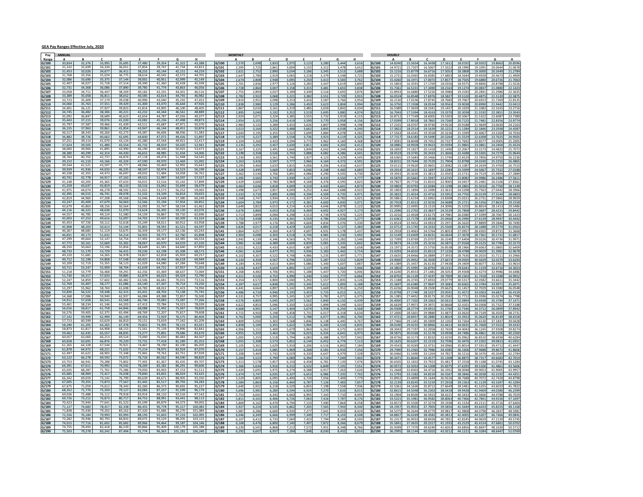#### GEA Pay Ranges Effective July, 2020

| Pay            | ANNUAL           |                  |                  |                  |                  |                  |                    |                  | <b>MONTHLY</b> |                |                |                |                |               |                |              |                | <b>HOURLY</b>  |                   |                    |                   |                   |                   |                   |                  |                   |
|----------------|------------------|------------------|------------------|------------------|------------------|------------------|--------------------|------------------|----------------|----------------|----------------|----------------|----------------|---------------|----------------|--------------|----------------|----------------|-------------------|--------------------|-------------------|-------------------|-------------------|-------------------|------------------|-------------------|
| Rang           |                  |                  |                  | D                |                  |                  | G                  | н                |                |                |                | C.             | D              |               |                | G            |                |                |                   | B                  | $\epsilon$        | D                 | E                 | F.                | G                |                   |
| G/100<br>G/101 | 30,834<br>31,142 | 32,376<br>32,69  | 33,995<br>34,334 | 35,695           | 37,480<br>37,854 | 39,354<br>39,747 | 41,322<br>41.734   | 43,388<br>43,82  | G/100<br>G/101 | 2,57<br>2.59   | 2,698<br>2,72  | 2,833<br>2,861 | 2,975<br>3,00  | 3,123<br>3.15 | 3,280<br>3.31  | 3,44<br>3,47 | 3,616<br>3,652 | G/100<br>G/101 | 14,8240<br>14.972 | 15.5654<br>15,7207 | 16.3438<br>16.506 | 17.1611<br>17.332 | 18.019<br>18.199  | 18.9202<br>19.109 | 19,866<br>20.064 | 20.8596<br>21.067 |
| G/102          | 31.453           | 33.02            | 34.677           | 36.41            | 38.232           | 40.144           | 42.151             | 44.259           | G/102          | 2,621          | 2,752          | 2,890          | 3,034          | 3,18          | 3,345          | 3,51         | 3,688          | G/102          | 15.121            | 15.8779            | 16.671            | 17.505            | 18.380            | 19.300            | 20.264           | 21.2784           |
| G/103          | 31.768           | 33.356           | 35.024           | 36.775           | 38.614           | 40.545           | 42.572             | 44.70            | G/103          | 2,647          | 2.780          | 2,919          | 3.065          | 3.21          | 3,37           | 3.54         | 3,72           | G/103          | 15.273            | 16.0365            | 16.838            | 17.680            | 18.5644           | 19.492            | 20.467           | 21.4909           |
| G/104          | 32.086           | 33,690           | 35.375           | 37.144           | 39,001           | 40.951           | 42.999             | 45.149           | G/104          | 2,674          | 2.808          | 2,948          | 3,095          | 3,250         | 3,413          | 3,58         | 3,762          | G/104          | 15,426            | 16.1971            | 17.007            | 17.857            | 18.750            | 19,688            | 20.672           | 21.7063           |
| G/105          | 32,407           | 34,027           | 35,728           | 37,514           | 39,390           | 41,360           | 43.428             | 45,599           | G/105          | 2,701          | 2.83           | 2.977          | 3.126          | 3.28          | 3,447          | 3.61         | 3.800          | G/105          | 15.580            | 16.359:            | 17.176            |                   | 18.937            | 19.884            | 20.878           | 21.922            |
| G/106          | 32,731           | 34,368           | 36,086           | 37,890           | 39,785           | 41,774           | 43.863             | 46,056           | G/106          | 2,728          | 2.864          | 3,007          | 3.158          | 3,31          | 3,481          | 3.65         | 3,83           | G/106          | 15.736            | 16.5231            | 17.349            | 18.216            | 19.127            | 20.083            |                  | 22.142            |
| G/107          | 33,058           | 34,71            | 36,447           | 38,269           | 40.182           | 42.191           | 44.301             | 46.516           | G/107          | 2.755          | 2.893          | 3.037          | 3.189          | 3.349         | 3.516          | 3.69         | 3.876          | G/107          | 15.893            | 16,6880            | 17.522            | 18 398            | 19.318            | 20.284            | 21.295           | 22.363            |
| G/108          | 33,389<br>33.723 | 35.05<br>35.409  | 36.811<br>37.179 | 38.65<br>39.038  | 40.585<br>40.990 | 42.614<br>43.040 | 44,745<br>45.192   | 46.98.<br>47.453 | G/108          | 2,782          | 2,922          | 3,068          | 3,22           | 3,38          | 3,551          | 3,72         | 3,91           | G/108          | 16.052<br>16.213  | 16.8548            | 17.697<br>17.874  | 18.582<br>18.768  | 19.512<br>19.706  | 20,487<br>20.692  | 21.512<br>21.726 | 22.587<br>22.81   |
| 109<br>G/110   | 34,060           | 35,763           | 37,551           | 39,429           | 41.400           | 43,470           | 45.644             | 47,926           | G/109<br>G/110 | 2,810<br>2.838 | 2.95:<br>2.98  | 3,098<br>3.129 | 3,253<br>3.286 | 3.41<br>3.45  | 3,587<br>3,62  | 3,76<br>3.80 | 3,954<br>3.99  | G/109<br>G/110 | 16.375            | 17.0236<br>17.1938 | 18.053            |                   | 19.903            | 20,899            |                  |                   |
| G/111          | 34,401           | 36,121           | 37,927           | 39.823           | 41,814           | 43.90            | 46,100             | 48.40            | G/111          | 2,867          | 3.010          | 3,16           | 3,319          | 3.48          | 3,65           | 3,84         | 4,03           | G/111          | 16.53             | 17.3659            | 18.234            | 19.145            | 20.102            | 21.108            | 22.16            | 23.271            |
| G/112          | 34,745           | 36,482           | 38,306           | 40.221           | 42,232           | 44.344           | 46,561             | 48,889           | G/112          | 2.895          | 3.040          | 3,192          | 3.352          | 3.51          | 3,699          | 3.88         | 4,074          | G/112          | 16.704            | 17.5394            | 18.416            | 19.337            | 20.3038           | 21.319            | 22.385           | 23.504            |
| G/113          | 35,092           | 36.847           | 38.689           | 40.62            | 42.654           | 44.787           | 47.026             | 49.377           | G/113          | 2,924          | 3.073          | 3,224          | 3.385          | 3,55          | 3,73           | 3,91         | 4,11!          | G/113          | 16.871            | 17.7149            | 18.600            | 19.530            | 20.506            | 21.532            | 22.608           | 23.738            |
| G/114          | 35,443           | 37,215           | 39,076           | 41.030           | 43.082           | 45.236           | 47,498             | 49,87            | G/114          | 2,954          | 3,10.          | 3,256          | 3,419          | 3.59          | 3,770          | 3,95         | 4.15           | G/114          | 17.039            | 17.8918            | 18.786            |                   | 20.712            | 21.748            |                  | 23.97             |
| G/115          | 35,797           | 37,587           | 39.466           | 41,439           | 43,511           | 45,687           | 47.971             | 50,370           | G/115          | 2.983          | 3.132          | 3,289          | 3.45           | 3.62          | 3,807          | 3.99         | 4.198          | G/115          | 17.210            | 18.0707            | 18.97             |                   | 20.918            | 21.964            |                  | 24.216            |
| G/116          | 36,155           | 37,96            | 39,861           | 41.854<br>42.273 | 43,947<br>44.387 | 46.144           | 48.451             | 50,874           | G/116          | 3.013          | 3.164          | 3.322          | 3.48           | 3.66          | 3.84           | 4.03         | 4.240          | G/116          | 17.382            | 18.2514            | 19.163            | 20.122            | 21.1284           | 22.184            | 23.295           | 24.458            |
| G/117          | 36,517<br>36,882 | 38,343<br>38.726 | 40.260<br>40.662 | 42.69            | 44.830           | 46.606<br>47.072 | 48.936<br>49.426   | 51.383<br>51.897 | G/117<br>G/118 | 3,043<br>3,074 | 3.19<br>3,22   | 3.355<br>3,389 | 3.523<br>3,558 | 3.69<br>3,73  | 3,884          | 4.07<br>4.11 | 4.282<br>4,32  | G/117          | 17.556<br>17.731  | 18.4341<br>18,6183 | 19.355<br>19.549  | 20.323<br>20.526  | 21.3399<br>21.552 | 22.406<br>22.630  | 23526<br>23.762  | 24.703<br>24.950  |
| G/118<br>G/119 | 37.251           | 39.114           | 41.070           | 43.124           | 45.280           | 47.544           | 49.921             | 52.417           | 5/119          | 3,104          | 3,26           | 3,423          | 3.594          |               | 3,923<br>3,96  | 4,16         | 4.36           | G/118<br>G/119 |                   | 18.8048            | 19.74             |                   | 21.769            | 22.85             |                  |                   |
| G/120          | 37,624           | 39,505           | 41,480           | 43,554           | 45,732           | 48,019           | 50,420             | 52,941           | G/120          | 3,135          | 3.292          | 3,457          | 3,630          | 3.81          | 4,002          | 4,20         | 4,41           | G/120          | 18.088            | 18.9928            | 19.942            |                   | 21.986            | 23,086            | 24,24            | 25.452            |
| G/121          | 38,000           | 39.90            | 41.895           | 43.99            | 46.190           | 48,500           | 50.925             | 53.47            | 5/121          | 3.167          | 3.32           | 3.491          | 3.66           | 3.84          | 4.04           | 4.24         | 4.45           | G/121          | 18.269            | 19.1827            | 20.141            | 21.149            | 22.206            | 23.317            | 24.483           | 25.707            |
| G/122          | 38,380           | 40.299           | 42.314           | 44.430           | 46.652           | 48.985           | 51.434             | 54,006           | G/122          | 3,198          | 3.358          | 3,526          | 3.703          | 3.888         | 4.082          | 4.286        | 4.501          | G/122          | 18.451            | 19.3745            | 20.343            | 21.3606           | 22.4288           | 23.550            | 24.727           | 25.964            |
| G/123          | 38,764           | 40.702           | 42.737           | 44.874           | 47.118           | 49.474           | 51.948             | 54.545           | G/123          | 3,230          | 3,39           | 3,561          | 3,740          | 3,92          | 4,12           | 4,32         | 4,545          | G/123          | 18.636            | 19.5683            | 20.546            | 21.574            | 22.652            | 23.785            | 24.975           | 26.223            |
| G/124          | 39,152           | 41,110           | 43,166           | 45,324           | 47,590           | 49.970           | 52.469             | 55,092           | G/124          | 3,265          | 3,42           | 3,597          | 3,77           | 3,96          | 4,16           | 4,37         | 4,591          | G/124          |                   | 19.7644            | 20.75             |                   | 22.879            | 24.024            |                  |                   |
| G/125          | 39,544           | 41.52            | 43.597           | 45.77            | 48.066           | 50,469           | 52.992             | 55,642           | G/125          | 3,295          | 3.460          | 3,633          | 3.81           | 4.00          | 4,206          | 4.41         | 4,637          | G/125          | 19.011            | 19.9620            | 20,960            | 22.008            | 23.108            | 24.263            | 25.47            | 26.751            |
| G/126<br>G/127 | 39,939<br>40,338 | 41,93<br>42,355  | 44,033<br>44,473 | 46,23<br>46.69   | 48.547<br>49.032 | 50,974<br>51.484 | 53.523<br>54.058   | 56,199<br>56.76: | G/126<br>G/127 | 3.328<br>3.362 | 3.49.<br>3.530 | 3.669<br>3.706 | 3.853<br>3.89  | 4.04<br>4.08  | 4.248<br>4.290 | 4.46<br>4.50 | 4.683<br>4.730 | G/126<br>G/127 | 19.201<br>19.393  | 20.1615<br>20.3630 | 21.169<br>21.381  | 22.228<br>22.450  | 23.339<br>23.573  | 24,506<br>24.751  | 25.732<br>25,986 | 27.018<br>27.288  |
| G/128          | 40.741           | 42.778           | 44.917           | 47,163           | 49,521           | 51,997           | 54.597             | 57,327           | G/128          | 3,395          | 3,56           | 3,743          | 3,930          | 4,12          | 4,333          | 4,55         | 4,777          | G/128          | 19.587            | 20.5663            | 21.594            | 22.674            | 23.8082           | 24.998            | 26.248           | 27.561            |
| G/129          | 41,148           | 43.205           | 45.365           | 47.63            | 50,015           | 52.516           | 55,142             | 57.899           | 3/129          | 3,429          | 3,60           | 3,780          | 3,96           |               | 4,37           | 4,59         | 4,82           | G/129          | 19.782            | 20.7716            | 21.810            | 22.900            | 24.045            | 25.248            |                  | 27.836            |
| G/130          | 41,559           | 43.63            | 45,819           | 48.110           | 50,516           | 53,042           | 55.694             | 58.479           | G/130          | 3.463          | 3.636          | 3.818          | 4.009          | 4.21          | 4.420          | 4.64         | 4.873          | G/130          | 19,980            | 20.9793            | 22.028            | 23.129            | 24.286            | 25.501            | 26.776           | 28.1149           |
| G/131          | 41,975           | 44,074           | 46,278           | 48.59            | 51,022           | 53.573           | 56,252             | 59.065           | G/131          | 3.498          | 3.67           | 3.857          | 4.049          | 4.25          | 4.464          | 4.68         | 4.92           | G/131          | 20.180            | 21.1894            | 22.249            | 23.361            | 24.529            | 25.756            |                  | 28.396            |
| G/132          | 42.395           | 44.515           | 46.741           | 49.078           | 51.532           | 54.109           | 56.814             | 59.655           | G/132          | 3,533          | 3.710          | 3,895          | 4.09           | 4,29          | 4,509          | 4.73         | 4,973          | G/132          | 20.382            | 21.4014            | 22.471            | 23.595            | 24.7750           | 26.013            | 27.314           | 28.680            |
| G/133          | 42,819<br>43,247 | 44.960<br>45.409 | 47.208<br>47,679 | 49.568<br>50.063 | 52,046<br>52,566 | 54,648<br>55,194 | 57,380<br>57.954   | 60.249<br>60.85  | G/133          | 3,568          | 3,747          | 3,934          | 4,13           | 4,33          | 4,554          | 4,78         | 5,021          | G/133          | 20.586            | 21.6154            | 22.696            | 23,830            | 25.022            | 26.273            | 27.586           | 28.965            |
| G/134<br>G/135 | 43,679           | 45.86            | 48.156           | 50.56            | 53,092           | 55.747           | 58.534             | 61.46            | G/134<br>G/135 | 3,60<br>3.640  | 3,78<br>3.82   | 3,97<br>4.013  | 4,17<br>4.21   | 4.42          | 4,60<br>4.646  | 4,81<br>4.87 | 5,07<br>5.12   | G/134<br>G/135 | 20.999            | 21.8313<br>22.0495 | 22.92<br>23.151   | 24.309            | 25.272<br>25.525  | 26.53<br>26,801   | 28.141           | 29.548            |
| G/136          | 44,116           | 46,32            | 48,638           | 51,07            | 53,624           | 56,305           | 59,120             | 62,076           | G/136          | 3,676          | 3.860          | 4.053          | 4.25           | 4.46          | 4.692          | 4.92         | 5,17           | G/136          | 21.209            | 22,2702            | 23.383            | 24.552            | 25.780            | 27,069            | 28.423           | 29.844            |
| G/137          | 44.557           | 46.785           | 49.124           | 51.580           | 54.159           | 56.867           | 59.710             | 62.696           | G/137          | 3,713          | 3.89           | 4,094          | 4.293          | 4.51          | 4,739          | 4.97         | 5,22           | G/137          | 21.421            | 22.4928            | 23.617            | 24.798            | 26.038            | 27.339            |                  | 30.142            |
| G/138          | 45,003           | 47.253           | 49.616           | 52.097           | 54.702           | 57,437           | 60.309             | 63.324           | G/138          | 3,750          | 3,938          | 4,135          | 4,341          | 4,55          | 4,786          | 5,02         | 5,277          | G/138          | 21.636            | 22.7178            | 23.853            | 25.046            | 26.299            | 27.613            | 28.994           | 30.4442           |
| G/139          | 45,453           | 47.72            | 50.112           | 52.618           | 55,249           | 58.01            | 60.912             | 63.95            | 3/139          | 3,788          | 3.97           | 4,176          | 4.38           | 4.60          | 4,83           | 5,07         | 5,33           | G/139          | 21.852            | 22.9452            | 24.092            | 25.297            | 26.562            | 27.889            |                  |                   |
| G/140          | 45.908           | 48.20            | 50.613           | 53.14            | 55.801           | 58.591           | 61.521             | 64.597           | G/140          | 3.826          | 4.01           | 4.218          | 4.429          | 4.65          | 4.883          | 5.12         | 5.383          | G/140          | 22.071            | 23.1745            | 24.333            | 25.550            | 26,8274           | 28.168            |                  | 31.056            |
| 1/141          | 46.367<br>46.831 | 48.685<br>49.173 | 51.119           | 53.675<br>54.214 | 56.359           | 59.177<br>59.771 | 62.136             | 65.243           | G/141          | 3,864          | 4,05           | 4,260          | 4.47           | 4,69          | 4,93           | 5,17         | 5,437          | G/141          | 22.291            | 23.4063            | 24.576            | 25.805            | 27.095            | 28.450            | 29.873           | 31.366            |
| G/142          | 47.299           | 49.664           | 51.632<br>52.147 | 54.754           | 56.925<br>57.492 | 60.367           | 62.760<br>63.385   | 65.898<br>66.554 | G/142          | 3,903          | 4.098          | 4,303          | 4,518          | 4.744         | 4,981          | 5,23         | 5,492          | G/142          | 22.514            | 23.6409            | 24.823            | 26.0644           | 27.3678           | 28.736            | 30.173<br>30.47  | 31.681            |
| G/143<br>G/144 | 47,772           | 50,16            | 52,669           | 55,302           | 58,067           | 60,97            | 64,019             | 67,220           | G/143<br>G/144 | 3,942<br>3.981 | 4,13<br>4.18   | 4,346<br>4,389 | 4,563<br>4.609 | 4,79<br>4.83  | 5,031<br>5,08  | 5,28<br>5.33 | 5,546<br>5.60  | G/143<br>G/144 | 22.73<br>22.967   | 23.8769<br>24.1159 | 25.070<br>25.321  | 26.324<br>26.587  | 27.640<br>27.916  | 29.022<br>29.312  |                  |                   |
| G/145          | 48.250           | 50.66            | 53.196           | 55.856           | 58.649           | 61.581           | 64.660             | 67.893           | G/145          | 4.021          | 4.22           | 4.433          | 4.65           | 4.88          | 5,132          | 5.38         | 5.658          | G/145          | 23.197            | 24.3572            | 25.575            | 26.853            | 28.1966           | 29,606            | 31.086           | 32.640            |
| G/146          | 48,733           | 51,170           | 53,729           | 56,415           | 59.236           | 62,198           | 65.308             | 68.573           | G/146          | 4,061          | 4,26           | 4,477          | 4,70           | 4,93          | 5,183          | 5,44         | 5,714          | G/146          | 23.429            | 24.6010            | 25.831            | 27.122            | 28.4788           | 29.902            | 31.398           | 32.967            |
| 147            | 49.220           | 51.681           | 54.265           | 56.978           | 59.827           | 62.818           | 65.959             | 69.257           | G/147          | 4,102          | 4.307          | 4,522          | 4.748          | 4.98          | 5,23           | 5.49         | 5,77           | G/147          | 23.663            | 248466             | 26.088            | 27 393            | 28.763            | 30.201            | 31 71            | 33.296            |
| G/148          | 49,712           | 52,198           | 54,808           | 57,548           | 60,425           | 63,446           | 66,618             | 69,949           | G/148          | 4,143          | 4.350          | 4,567          | 4.796          | 5,035         | 5,287          | 5.55         | 5.829          | G/148          | 23,900            | 25.0952            | 26.350            | 27.667            | 29.050            | 30.502            |                  |                   |
| G/149          | 50,209           | 52,71            | 55,355           |                  | 61,029           |                  |                    | 70,648           | G/149          | 4.184          | 4.39           | 4,613          | 4.844          | 5.08          | 5,34           | 5,60         | 5,887          | G/149          | 24.13             | 25.3457            | 26.613            |                   | 29.340            | 30.807            |                  |                   |
| G/150          | 50.711<br>51,218 | 53.247<br>53.779 | 55.909<br>56.468 | 58.704<br>59.291 | 61.639<br>62.256 | 64.721<br>65.369 | 67.957<br>68.637   | 71.355<br>72.069 | G/150<br>G/151 | 4.226          | 4.437<br>4.48  | 4,659          | 4.892          | 5.13          | 5,393          | 5.66         | 5.946          | G/150          | 24.380<br>24.624  | 25.5995            | 26,879            | 28.223            | 29.6343<br>29.930 | 31.115            | 32.671           | 34.305            |
| 5/151<br>G/152 | 51.730           | 54.317           | 57.033           | 59.885           | 62.879           | 66.023           | 69.324             | 72.790           | G/152          | 4,268<br>4,311 | 4.526          | 4,706<br>4,753 | 4,941<br>4.990 | 5,18<br>5,240 | 5,447<br>5,502 | 5,72<br>5.77 | 6,00<br>6.066  | G/151<br>G/152 | 24.870            | 25.8553<br>26.1139 | 27.148<br>27.419  | 28.505<br>28,790  | 30.230            | 31.427<br>31.741  | 33.328           | 34.648<br>34.995  |
| G/153          | 52,247           | 54,85            | 57,602           | 60,482           | 63,506           | 66,681           | 70,015             | 73,51            | G/153          | 4,354          | 4.572          | 4,800          | 5,040          | 5.29          | 5,557          | 5,83         | 6,126          | G/153          | 25.118            | 26.3745            | 27.693            | 29.077            | 30.531            | 32.058            | 33.661           | 35.344            |
| G/154          | 52,769           | 55,40            | 58,177           | 61,08            | 64,140           | 67,347           | 70,714             |                  | G/154          | 4,39           | 4.617          | 4,848          | 5,09           | 5,34          | 5,612          | 5,89         | 6,188          | G/154          |                   | 26.6380            | 27.969            |                   | 30.836            | 32.378            |                  |                   |
| G/155          | 53,297           | 55.962           | 58,760           | 61.698           | 64.783           | 68.023           | 71.423             | 74.994           | G/155          | 4.441          | 4.664          | 4.897          | 5.142          | 5.399         | 5.669          | 5.95         | 6.250          | G/155          | 25.623            | 26.9048            | 28.250            | 29.662            | 31.1457           | 32.702            | 34.338           | 36.054            |
| G/156          | 53,830           | 56.522           | 59.348           | 62.315           | 65.431           | 68.703           | 72.138             | 75.745           | G/156          | 4.486          | 4.710          | 4,946          | 5,193          | 5,45          | 5,729          | 6,01         | 6,31           | G/156          | 25.879            | 27,1740            | 28.532            | 29,959            | 31.457            | 33.030            | 34.681           | 36.415            |
| G/157          | 54.368           | 57.086           | 59.940           | 62.937           | 66.084           | 69.388           | 72.857             | 76.500           | G/157          | 4,531          | 4,75           | 4,995          | 5,245          | 5,50          | 5,782          | 6,07         | 6,37           | G/157          |                   | 27.4452            | 28.817            |                   | 31.771            | 33.35             | 35.027           |                   |
| G/158<br>G/159 | 54,912<br>55,461 | 57,658<br>58,23  | 60,541<br>61,146 | 63,568           | 66,746<br>67,413 | 70,083           | 73.587             | 77,266           | G/158<br>5/159 | 4,576<br>4,622 | 4.80<br>4.85   | 5,045<br>5,096 | 5,297<br>5,350 | 5,562<br>5.61 | 5,840<br>5,89  | 6,13<br>6.19 | 6,439<br>6,50  | G/158<br>G/159 | 26,400<br>26.663  | 27.7202<br>27.9971 | 29,106<br>29.397  |                   | 32.089<br>32.410  | 33.693<br>34.030  | 35.378           | 37.147            |
| G/160          | 56.016           | 58.817           | 61.758           | 64.846           | 68.088           | 71.492           | 75.067             | 78.820           | G/160          | 4.668          | 4.90'          | 5.147          | 5.404          | 5.674         | 5.958          | 6.25         | 6.568          | G/160          | 26.930            | 28.2774            | 29.691            | 31.1760           | 32.7346           | 34.371            | 36.089           | 37.894            |
| 3/161          | 56.576           | 59.405           | 62.375           | 65.494           | 68.769           | 72.207           | 75.817             | 79,608           | G/161          | 4,715          | 4,950          | 5,198          | 5,458          | 5,73          | 6,017          | 6,31         | 6,634          | G/161          | 27.200            | 28.5601            | 29.988            | 31.487            | 33.062            | 34.714            | 36.450           | 38.273            |
| G/162          | 57,142           | 59,999           | 62,999           | 66,149           | 69.456           | 72.929           | 76.575             | 80,404           | G/162          | 4,762          | 5,000          | 5,250          | 5,512          | 5,78          | 6,077          | 6,38         | 6,700          | G/162          | 27.472            | 28.8457            | 30.288            |                   | 33.392            | 35.062            |                  |                   |
| G/163          | 57,713           | 60,599           | 63,629           | 66,81            | 70,151           | 73,659           | 77,342             | 81,209           | G/163          | 4.809          | 5.050          | 5,302          | 5,568          | 5.84          | 6,138          | 6.44         | 6,767          | G/163          | 27.746            | 29.1341            | 30.590            | 32.120            | 33.726            | 35.413            |                  | 39.042            |
| G/164          | 58,290           | 61,20            | 64,265           | 67,47            | 70,852           | 74.395           | 78.115             | 82,023           | G/164          | 4.858          | 5.100          | 5,355          | 5.623          | 5.90          | 6,200          | 6.51         | 6.83           | G/164          | 28.024            | 29.4255            | 30,896            | 32.441            | 34.063            | 35.766            | 37.555           | 39.433            |
| G/165          | 58,873<br>59,462 | 61.817<br>62,435 | 64.908<br>65,557 | 68.153<br>68,83  | 71.561<br>72.277 | 75.139           | 78.896<br>79.686   | 82.841           | G/165          | 4.906          | 5.15'          | 5.409<br>5,463 | 5.679          | 5.96          | 6.262          | 6.57         | 6.903          | G/165          | 28.304<br>28.587  | 29.7197            | 31.205            | 32.765<br>33.093  | 34.4043           | 36.124            | 37.930<br>38.310 | 39.827            |
| G/166<br>G/167 | 60,057           | 63.060           | 66.213           | 69.524           | 73.000           | 75,891<br>76.650 | 80.483             | 83,670<br>84.507 | 3/166<br>3/167 | 4,955<br>5,00  | 5,20           | 5,518          | 5,736          | 6,02<br>6,08  | 6,324<br>6,38  | 6,64<br>6,70 | 6,97<br>7,04   | G/166<br>S/167 | 28.87             | 30.0168<br>30.317  | 31.51<br>31.833   |                   | 34.7486<br>35.096 | 36.486<br>36.851  |                  | 40.226            |
| G/168          | 60,658           | 63,691           | 66,876           | 70,220           | 73,731           | 77,418           | 81,289             | 85,353           | G/168          | 5,055          | 5,308          | 5,573          | 5,852          | 6,14          | 6,452          | 6,77         | 7,11           | G/168          | 29.162            | 30.6207            | 32.151            | 33.759            | 35.447            | 37.220            | 39,081           | 41.035            |
| G/169          | 61,265           | 64.32            | 67.544           | 70.92            | 74.467           | 78.190           | 82.100             | 86.20            | G/169          | 5,105          | 5.36           | 5,629          | 5.91           | 6.20          | 6,51           | 6.84         | 7.184          | G/169          | 29.454            | 30.9269            | 32.473            | 34.096            | 35.801            | 37.591            | 39.47            | 41.444            |
| G/170          | 61.878           | 64.972           | 68.221           | 71.632           | 75.214           | 78.975           | 82.924             | 87,070           | G/170          | 5.157          | 5.414          | 5.685          | 5.969          | 6.268         | 6,58           | 6.91         | 7.256          | G/170          | 29.749            | 31.2365            | 32.798            | 34.438            | 36.1606           | 37.968            | 39.867           | 41.860            |
| G/171          | 62,497           | 65,622           | 68.903           | 72,348           | 75,965           | 79,763           | 83.751             | 87,939           | G/171          | 5,208          | 5,46           | 5,742          | 6,029          | 6,33          | 6,647          | 6,97         | 7,328          | G/171          | 30.046            | 31.5490            | 33.126            | 34.782            | 36.521            | 38.347            | 40.264           | 42.278            |
| G/172          | 63,122           | 66.278           | 69.592           | 73.072           | 76.726           | 80.562           | 84.590             | 88,820           | G/172          | 5.26           | 5.52           | 5,799          | 6.08           | 6.39          | 6.71           | 7.04         | 7.40           | G/172          | 30.347            | 31.8644            | 33.457            |                   | 36.887            | 38.731            |                  |                   |
| G/173          | 63,753<br>64,391 | 66,941<br>67,61  | 70,288<br>70,992 | 73.80<br>74,542  | 77.492<br>78,269 | 81.367<br>82,182 | 85.435<br>86,291   | 89.707<br>90,60  | G/173<br>G/174 | 5.313          | 5.57<br>5.634  | 5.857          | 6.15<br>6,21   | 6.45<br>6.52  | 6.78<br>6,84   | 7.12         | 7.47           | G/173          | 30.650<br>30.957  | 32.1832<br>32.5053 | 33.792<br>34.130  | 35.481<br>35.837  | 37.255<br>37.629  | 39.118<br>39.510  | 41.074<br>41,486 | 43.128<br>43.560  |
| G/174<br>G/175 | 65.035           | 68.28            | 71.701           | 75.286           | 79.050           | 83.003           | 87.153             | 91.511           | G/175          | 5,366<br>5.420 | 5.691          | 5,916<br>5.975 | 6.274          | 6.58          | 6.91           | 7,19<br>7.26 | 7,55<br>7.626  | G/174<br>G/175 | 31.266            | 32.8303            | 34.471            | 36.195            | 38.0048           | 39.905            | 41.900           | 43.995            |
| G/176          | 65,685           | 68,969           | 72,417           | 76,038           | 79,840           | 83,832           | 88,024             | 92,42            | G/176          | 5,474          | 5,747          | 6,035          | 6,337          | 6,65          | 6,98           | 7,33         | 7,70           | G/176          | 31.579            | 33.1582            | 34.815            | 36.556            | 38.3846           | 40.303            | 42.319           | 44.435            |
| G/177          | 66.342           | 69.659           | 73.142           | 76.799           | 80.639           | 84.671           | 88.905             | 93.350           | G/177          | 5.529          | 5.80           | 6,095          | 6.40           | 6.72          | 7.05           | 7.40         | 7.77           | G/177          | 31.89             | 33,4899            | 35.164            |                   | 38.768            | 40.707            |                  |                   |
| G/178          | 67,005           | 70,355           | 73,873           | 77,567           | 81,445           | 85,517           | 89.793             | 94,283           | G/178          | 5.584          | 5.863          | 6.156          | 6.464          | 6.78          | 7,126          | 7.48         | 7.857          | G/178          | 32.213            | 33.8245            | 35.515            | 37.291            | 39.156            | 41.113            | 43.169           | 45.328            |
| G/179          | 67,675           | 71,05            | 74,612           | 78.34            | 82,260           | 86.373           | 90,692             | 95,22            | G/179          | 5.640          | 5.922          | 6,218          | 6.529          | 6.85          | 7,198          | 7.55         | 7.936          | G/179          | 32.536            | 34.1630            | 35.871            | 37.664            | 39.548            | 41.525            | 43.601           | 45.782            |
| G/180          | 68.352           | 71.770           | 75.359           | 79.127           | 83.083           | 87.237           | 91.599             | 96.179           | G/180          | 5.696          | 5.98'          | 6,280          | 6.594          | 6.92          | 7,270          | 7.63         | 8.01           | G/180          | 32.861            | 34.5048            | 36.230            | 38.041            | 39.9438           | 41.940            | 44.038           | 46.239            |
| G/181          | 69,036           | 72,488           | 76,112           | 79,918           | 83,914           | 88,110           | 92,516             | 97,142           | 3/181          | 5,753          | 6,04           | 6,343          | 6,660          | 6,99          | 7,34           | 7,71         | 8,09           | G/181          | 33.190            | 34.8500            | 36.592            | 38.422            | 40.343            | 42.360            | 44.478           | 46.702            |
| G/182<br>G/183 | 69.726<br>70.423 | 73.212<br>73.94  | 76.873<br>77.641 | 80.71<br>81.52   | 84.753<br>85.599 | 88.99<br>89.87   | 93.441<br>94.373   | 99.09            | G/182<br>G/183 | 5,811<br>5.869 | 6,10<br>6.16   | 6,406<br>6.470 | 6,72(<br>6.794 | 7,06<br>7.13  | 7,416<br>7.490 | 7,78<br>7.86 | 8,17<br>8.258  | G/182<br>G/183 | 33.522<br>33.857  | 35.1981<br>35.5500 | 36.958<br>37.327  | 38.806<br>39.193  | 40.746<br>41.1534 | 42.784<br>43.211  | 44.923<br>45.371 | 47.169<br>47.640  |
| G/184          | 71,127           | 74,683           | 78,417           | 82.33            | 86,455           | 90,778           | 95.317             | 100,08           | G/184          | 5,927          | 6.224          | 6,535          | 6.862          | 7.20          | 7,565          | 7.94         | 8,340          | G/184          | 34.195            | 35,9053            | 37,700            | 39.585            | 41.564            | 43.643            | 45.825           | 48.116            |
| G/185          | 71.838           | 75.43            | 79.202           | 83.163           | 87.320           | 91.686           | 96.270             | 101.084          | G/185          | 5.987          | 6.28           | 6,600          | 6.93           |               | 7.64           | 8.02         | 8.42           | G/185          | 3453              | 36.2644            | 38.07             | 39 981            | 41.980            | 44.079            | 46.28            | 48.595            |
| G/186          | 72,556           | 76,184           | 79,993           | 83,993           | 88,193           | 92,603           | 97,233             | 102,09           | 3/186          | 6,046          | 6,34           | 6,666          | 6,999          | 7,34          | 7,71           | 8,10         | 8,50           | G/186          | 34.882            | 36.626             | 38.458            | 40.381            | 42.400            | 44.520            | 46,746           | 49.084            |
| G/187          | 73.282           | 76.94            |                  |                  |                  |                  |                    | 103.11           | 5/187          | 6.10           | 6.41           | 6.733          | 7.06           | 7.42          | 7.79           | 8.18         | 8.59           | 5/187          | 35.231            | 36.993             | 38.842            | 40.785            | 42.824            | 44.965            |                  | 49.57             |
| G/188          | 74,015           | 77.716           | 81.602           | 85.682           | 89.966           | 94.464           | 99.187             | 104.146          | G/188          | 6,168          | 6.476          | 6.800          | 7.140          | 7,49          | 7,872          | 8.26         | 8,679          | G/188          | 35.584            | 37.3635            | 39.231            | 41.193            | 43.2529           | 45.4154           | 47.686           | 50.070            |
| G/189          | 74,755<br>75.503 | 78,493<br>79.278 | 82.418<br>83.242 | 86.539<br>87.404 | 90.866           | 95.409           | 100.179<br>101.181 | 105.188          | G/189          | 6,230          | 6,54           | 6,868          | 7,212          | 7,57          | 7,95           | 8,34         | 8,766          | G/189          | 35.939            | 37.7370            | 39.624            | 41.6053           | 43.6856           | 45.8697           | 48.163           | 50.571            |
| G/190          |                  |                  |                  |                  | 91.774           | 96.363           |                    | 106,240          |                | 6.29           | 6.60           | 6,937          | 7.284          | 7.64          | 8,030          | 8,432        | 8.85           | G/190          |                   | 38.1144            | 40.020            | 42.021            | 44.1221           | 46.3284           | 48.644           |                   |